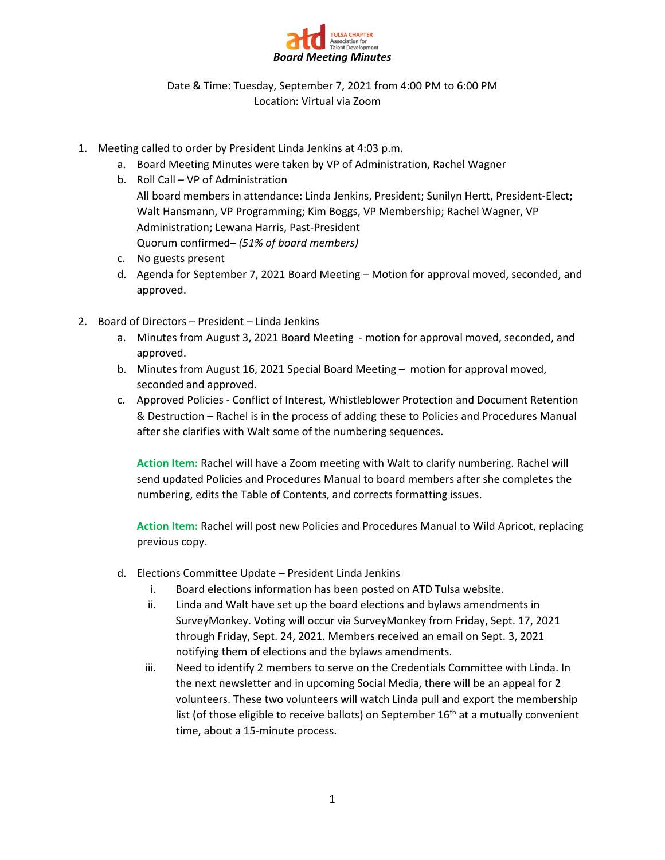

Date & Time: Tuesday, September 7, 2021 from 4:00 PM to 6:00 PM Location: Virtual via Zoom

- 1. Meeting called to order by President Linda Jenkins at 4:03 p.m.
	- a. Board Meeting Minutes were taken by VP of Administration, Rachel Wagner
	- b. Roll Call VP of Administration All board members in attendance: Linda Jenkins, President; Sunilyn Hertt, President-Elect; Walt Hansmann, VP Programming; Kim Boggs, VP Membership; Rachel Wagner, VP Administration; Lewana Harris, Past-President Quorum confirmed– *(51% of board members)*
	- c. No guests present
	- d. Agenda for September 7, 2021 Board Meeting Motion for approval moved, seconded, and approved.
- 2. Board of Directors President Linda Jenkins
	- a. Minutes from August 3, 2021 Board Meeting motion for approval moved, seconded, and approved.
	- b. Minutes from August 16, 2021 Special Board Meeting motion for approval moved, seconded and approved.
	- c. Approved Policies Conflict of Interest, Whistleblower Protection and Document Retention & Destruction – Rachel is in the process of adding these to Policies and Procedures Manual after she clarifies with Walt some of the numbering sequences.

**Action Item:** Rachel will have a Zoom meeting with Walt to clarify numbering. Rachel will send updated Policies and Procedures Manual to board members after she completes the numbering, edits the Table of Contents, and corrects formatting issues.

**Action Item:** Rachel will post new Policies and Procedures Manual to Wild Apricot, replacing previous copy.

- d. Elections Committee Update President Linda Jenkins
	- i. Board elections information has been posted on ATD Tulsa website.
	- ii. Linda and Walt have set up the board elections and bylaws amendments in SurveyMonkey. Voting will occur via SurveyMonkey from Friday, Sept. 17, 2021 through Friday, Sept. 24, 2021. Members received an email on Sept. 3, 2021 notifying them of elections and the bylaws amendments.
	- iii. Need to identify 2 members to serve on the Credentials Committee with Linda. In the next newsletter and in upcoming Social Media, there will be an appeal for 2 volunteers. These two volunteers will watch Linda pull and export the membership list (of those eligible to receive ballots) on September  $16<sup>th</sup>$  at a mutually convenient time, about a 15-minute process.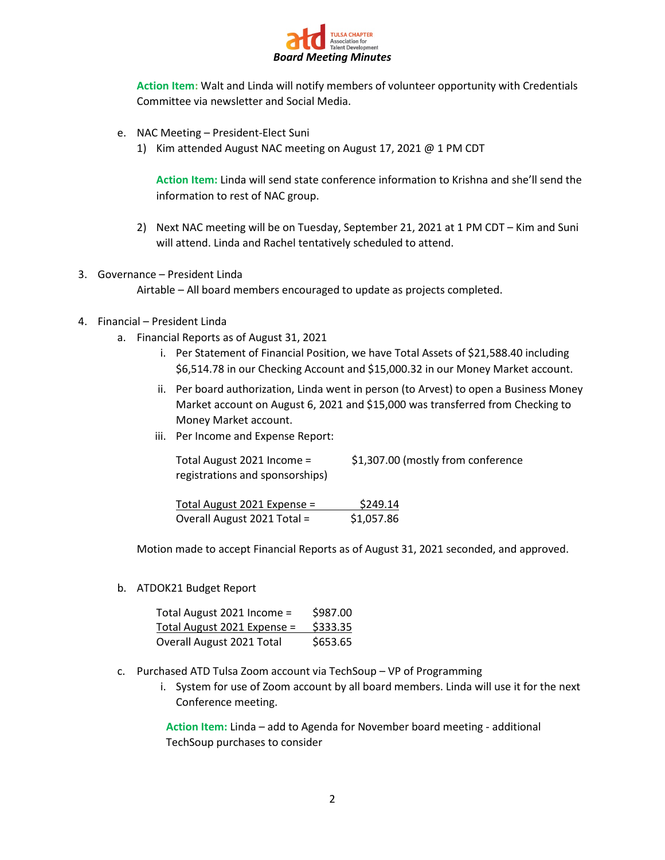

**Action Item:** Walt and Linda will notify members of volunteer opportunity with Credentials Committee via newsletter and Social Media.

- e. NAC Meeting President-Elect Suni
	- 1) Kim attended August NAC meeting on August 17, 2021 @ 1 PM CDT

**Action Item:** Linda will send state conference information to Krishna and she'll send the information to rest of NAC group.

- 2) Next NAC meeting will be on Tuesday, September 21, 2021 at 1 PM CDT Kim and Suni will attend. Linda and Rachel tentatively scheduled to attend.
- 3. Governance President Linda

Airtable – All board members encouraged to update as projects completed.

#### 4. Financial – President Linda

- a. Financial Reports as of August 31, 2021
	- i. Per Statement of Financial Position, we have Total Assets of \$21,588.40 including \$6,514.78 in our Checking Account and \$15,000.32 in our Money Market account.
	- ii. Per board authorization, Linda went in person (to Arvest) to open a Business Money Market account on August 6, 2021 and \$15,000 was transferred from Checking to Money Market account.
	- iii. Per Income and Expense Report:

| Total August 2021 Income =      | \$1,307.00 (mostly from conference |
|---------------------------------|------------------------------------|
| registrations and sponsorships) |                                    |
| $Total$ August 2021 Expanse $-$ | <b>S24014</b>                      |

 $Total August 2021 Expense =  $$249.14$$ </u> Overall August 2021 Total = \$1,057.86

Motion made to accept Financial Reports as of August 31, 2021 seconded, and approved.

b. ATDOK21 Budget Report

| Total August 2021 Income =  | \$987.00 |
|-----------------------------|----------|
| Total August 2021 Expense = | \$333.35 |
| Overall August 2021 Total   | \$653.65 |

- c. Purchased ATD Tulsa Zoom account via TechSoup VP of Programming
	- i. System for use of Zoom account by all board members. Linda will use it for the next Conference meeting.

**Action Item:** Linda – add to Agenda for November board meeting - additional TechSoup purchases to consider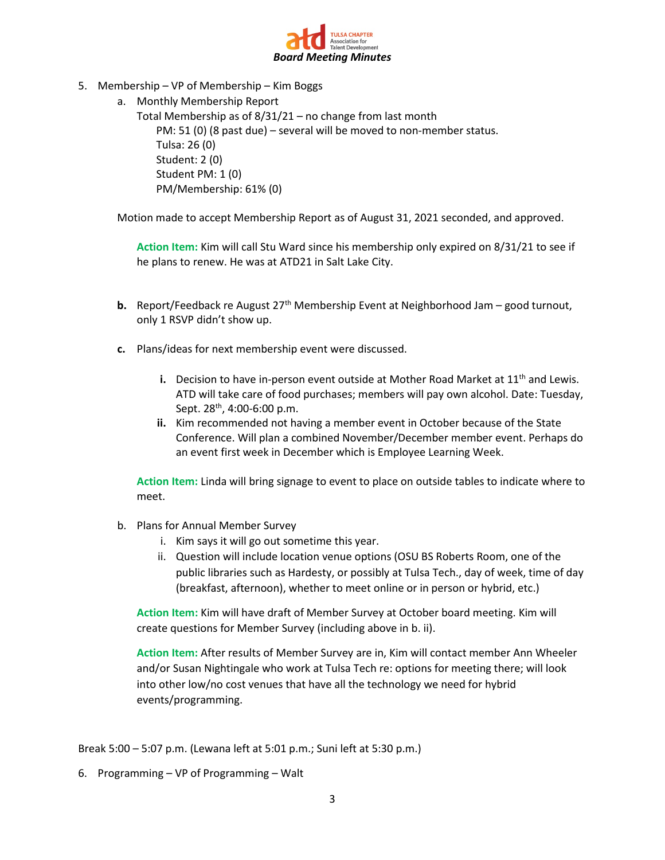

- 5. Membership VP of Membership Kim Boggs
	- a. Monthly Membership Report

Total Membership as of 8/31/21 – no change from last month PM: 51 (0) (8 past due) – several will be moved to non-member status. Tulsa: 26 (0) Student: 2 (0) Student PM: 1 (0) PM/Membership: 61% (0)

Motion made to accept Membership Report as of August 31, 2021 seconded, and approved.

**Action Item:** Kim will call Stu Ward since his membership only expired on 8/31/21 to see if he plans to renew. He was at ATD21 in Salt Lake City.

- **b.** Report/Feedback re August 27<sup>th</sup> Membership Event at Neighborhood Jam good turnout, only 1 RSVP didn't show up.
- **c.** Plans/ideas for next membership event were discussed.
	- **i.** Decision to have in-person event outside at Mother Road Market at 11<sup>th</sup> and Lewis. ATD will take care of food purchases; members will pay own alcohol. Date: Tuesday, Sept. 28th, 4:00-6:00 p.m.
	- **ii.** Kim recommended not having a member event in October because of the State Conference. Will plan a combined November/December member event. Perhaps do an event first week in December which is Employee Learning Week.

**Action Item:** Linda will bring signage to event to place on outside tables to indicate where to meet.

- b. Plans for Annual Member Survey
	- i. Kim says it will go out sometime this year.
	- ii. Question will include location venue options (OSU BS Roberts Room, one of the public libraries such as Hardesty, or possibly at Tulsa Tech., day of week, time of day (breakfast, afternoon), whether to meet online or in person or hybrid, etc.)

**Action Item:** Kim will have draft of Member Survey at October board meeting. Kim will create questions for Member Survey (including above in b. ii).

**Action Item:** After results of Member Survey are in, Kim will contact member Ann Wheeler and/or Susan Nightingale who work at Tulsa Tech re: options for meeting there; will look into other low/no cost venues that have all the technology we need for hybrid events/programming.

Break 5:00 – 5:07 p.m. (Lewana left at 5:01 p.m.; Suni left at 5:30 p.m.)

6. Programming – VP of Programming – Walt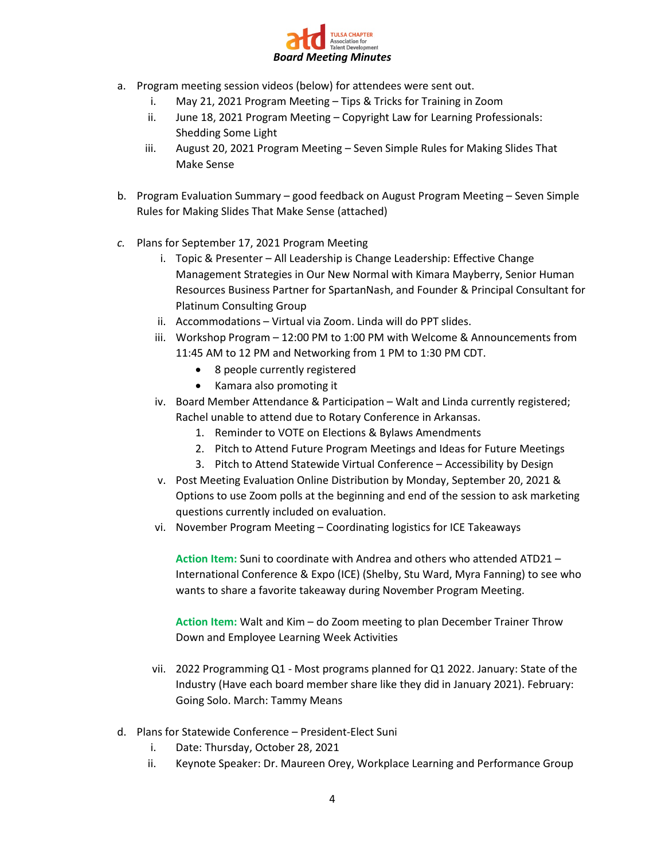

- a. Program meeting session videos (below) for attendees were sent out.
	- i. May 21, 2021 Program Meeting Tips & Tricks for Training in Zoom
	- ii. June 18, 2021 Program Meeting Copyright Law for Learning Professionals: Shedding Some Light
	- iii. August 20, 2021 Program Meeting Seven Simple Rules for Making Slides That Make Sense
- b. Program Evaluation Summary good feedback on August Program Meeting Seven Simple Rules for Making Slides That Make Sense (attached)
- *c.* Plans for September 17, 2021 Program Meeting
	- i. Topic & Presenter All Leadership is Change Leadership: Effective Change Management Strategies in Our New Normal with Kimara Mayberry, Senior Human Resources Business Partner for SpartanNash, and Founder & Principal Consultant for Platinum Consulting Group
	- ii. Accommodations Virtual via Zoom. Linda will do PPT slides.
	- iii. Workshop Program 12:00 PM to 1:00 PM with Welcome & Announcements from 11:45 AM to 12 PM and Networking from 1 PM to 1:30 PM CDT.
		- 8 people currently registered
		- Kamara also promoting it
	- iv. Board Member Attendance & Participation Walt and Linda currently registered; Rachel unable to attend due to Rotary Conference in Arkansas.
		- 1. Reminder to VOTE on Elections & Bylaws Amendments
		- 2. Pitch to Attend Future Program Meetings and Ideas for Future Meetings
		- 3. Pitch to Attend Statewide Virtual Conference Accessibility by Design
	- v. Post Meeting Evaluation Online Distribution by Monday, September 20, 2021 & Options to use Zoom polls at the beginning and end of the session to ask marketing questions currently included on evaluation.
	- vi. November Program Meeting Coordinating logistics for ICE Takeaways

**Action Item:** Suni to coordinate with Andrea and others who attended ATD21 – International Conference & Expo (ICE) (Shelby, Stu Ward, Myra Fanning) to see who wants to share a favorite takeaway during November Program Meeting.

**Action Item:** Walt and Kim – do Zoom meeting to plan December Trainer Throw Down and Employee Learning Week Activities

- vii. 2022 Programming Q1 Most programs planned for Q1 2022. January: State of the Industry (Have each board member share like they did in January 2021). February: Going Solo. March: Tammy Means
- d. Plans for Statewide Conference President-Elect Suni
	- i. Date: Thursday, October 28, 2021
	- ii. Keynote Speaker: Dr. Maureen Orey, Workplace Learning and Performance Group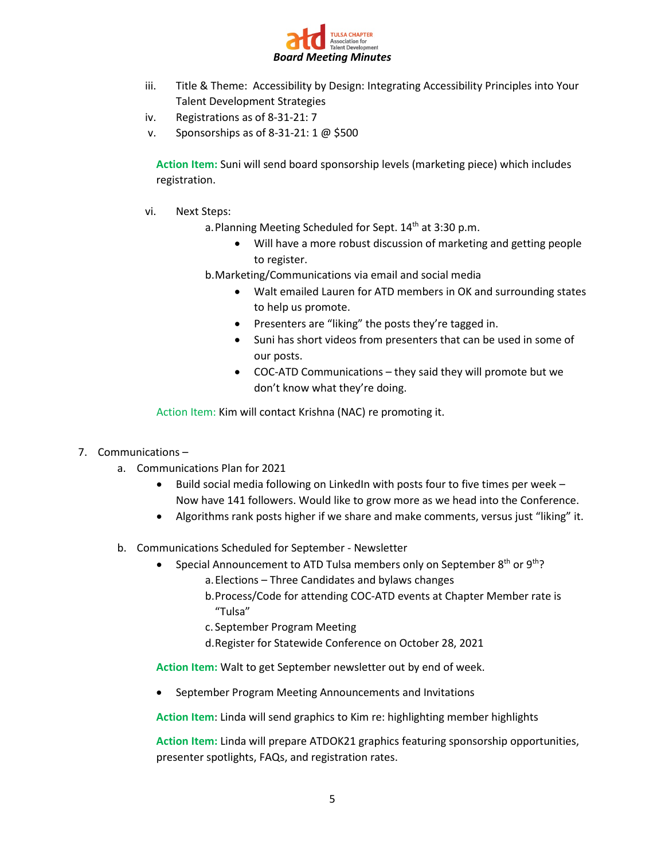

- iii. Title & Theme: Accessibility by Design: Integrating Accessibility Principles into Your Talent Development Strategies
- iv. Registrations as of 8-31-21: 7
- v. Sponsorships as of 8-31-21: 1 @ \$500

**Action Item:** Suni will send board sponsorship levels (marketing piece) which includes registration.

- vi. Next Steps:
	- a. Planning Meeting Scheduled for Sept. 14<sup>th</sup> at 3:30 p.m.
		- Will have a more robust discussion of marketing and getting people to register.

b.Marketing/Communications via email and social media

- Walt emailed Lauren for ATD members in OK and surrounding states to help us promote.
- Presenters are "liking" the posts they're tagged in.
- Suni has short videos from presenters that can be used in some of our posts.
- COC-ATD Communications they said they will promote but we don't know what they're doing.

Action Item: Kim will contact Krishna (NAC) re promoting it.

- 7. Communications
	- a. Communications Plan for 2021
		- Build social media following on LinkedIn with posts four to five times per week Now have 141 followers. Would like to grow more as we head into the Conference.
		- Algorithms rank posts higher if we share and make comments, versus just "liking" it.
	- b. Communications Scheduled for September Newsletter
		- Special Announcement to ATD Tulsa members only on September 8<sup>th</sup> or 9<sup>th</sup>? a.Elections – Three Candidates and bylaws changes
			- b.Process/Code for attending COC-ATD events at Chapter Member rate is "Tulsa"
			- c. September Program Meeting
			- d.Register for Statewide Conference on October 28, 2021

**Action Item:** Walt to get September newsletter out by end of week.

• September Program Meeting Announcements and Invitations

**Action Item**: Linda will send graphics to Kim re: highlighting member highlights

**Action Item:** Linda will prepare ATDOK21 graphics featuring sponsorship opportunities, presenter spotlights, FAQs, and registration rates.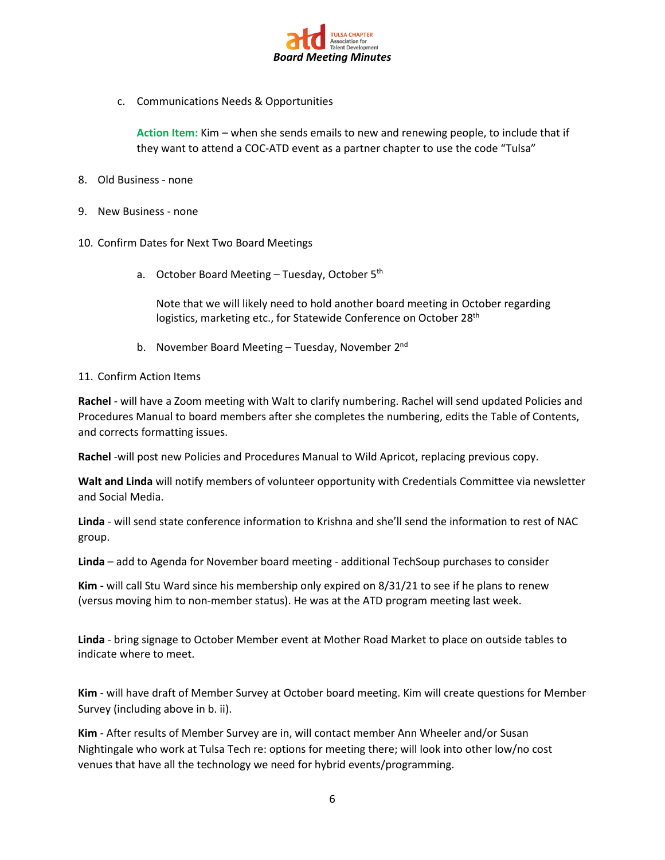

c. Communications Needs & Opportunities

**Action Item:** Kim – when she sends emails to new and renewing people, to include that if they want to attend a COC-ATD event as a partner chapter to use the code "Tulsa"

- 8. Old Business none
- 9. New Business none
- 10. Confirm Dates for Next Two Board Meetings
	- a. October Board Meeting Tuesday, October 5<sup>th</sup>

Note that we will likely need to hold another board meeting in October regarding logistics, marketing etc., for Statewide Conference on October 28<sup>th</sup>

b. November Board Meeting – Tuesday, November 2<sup>nd</sup>

#### 11. Confirm Action Items

**Rachel** - will have a Zoom meeting with Walt to clarify numbering. Rachel will send updated Policies and Procedures Manual to board members after she completes the numbering, edits the Table of Contents, and corrects formatting issues.

**Rachel** -will post new Policies and Procedures Manual to Wild Apricot, replacing previous copy.

**Walt and Linda** will notify members of volunteer opportunity with Credentials Committee via newsletter and Social Media.

**Linda** - will send state conference information to Krishna and she'll send the information to rest of NAC group.

**Linda** – add to Agenda for November board meeting - additional TechSoup purchases to consider

**Kim -** will call Stu Ward since his membership only expired on 8/31/21 to see if he plans to renew (versus moving him to non-member status). He was at the ATD program meeting last week.

**Linda** - bring signage to October Member event at Mother Road Market to place on outside tables to indicate where to meet.

**Kim** - will have draft of Member Survey at October board meeting. Kim will create questions for Member Survey (including above in b. ii).

**Kim** - After results of Member Survey are in, will contact member Ann Wheeler and/or Susan Nightingale who work at Tulsa Tech re: options for meeting there; will look into other low/no cost venues that have all the technology we need for hybrid events/programming.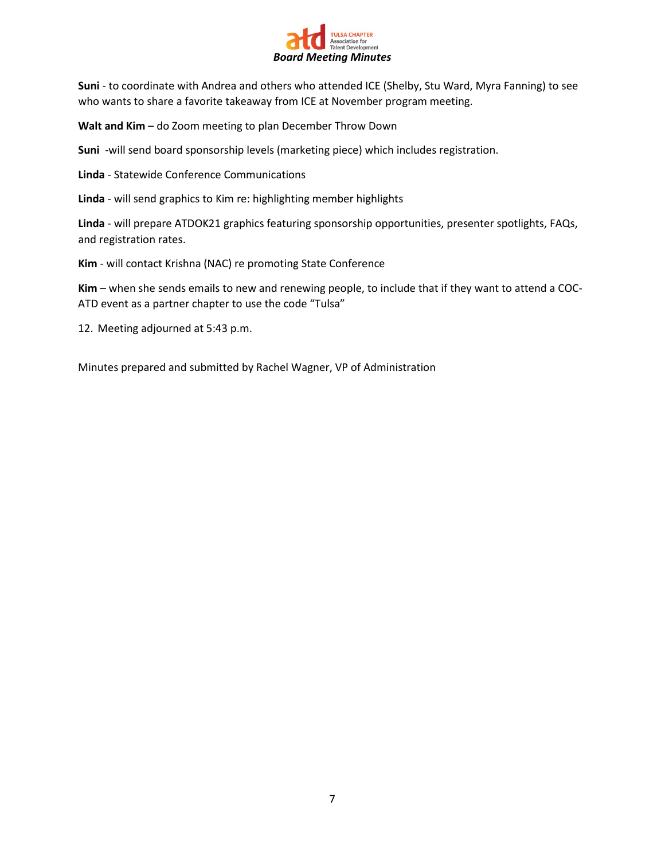

**Suni** - to coordinate with Andrea and others who attended ICE (Shelby, Stu Ward, Myra Fanning) to see who wants to share a favorite takeaway from ICE at November program meeting.

**Walt and Kim** – do Zoom meeting to plan December Throw Down

**Suni** -will send board sponsorship levels (marketing piece) which includes registration.

**Linda** - Statewide Conference Communications

**Linda** - will send graphics to Kim re: highlighting member highlights

**Linda** - will prepare ATDOK21 graphics featuring sponsorship opportunities, presenter spotlights, FAQs, and registration rates.

**Kim** - will contact Krishna (NAC) re promoting State Conference

**Kim** – when she sends emails to new and renewing people, to include that if they want to attend a COC-ATD event as a partner chapter to use the code "Tulsa"

12. Meeting adjourned at 5:43 p.m.

Minutes prepared and submitted by Rachel Wagner, VP of Administration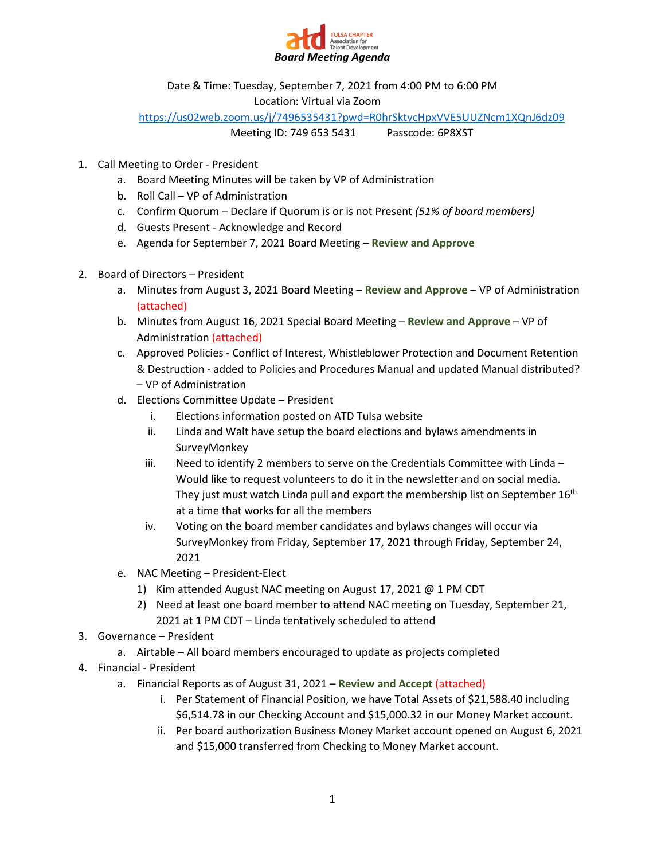

Date & Time: Tuesday, September 7, 2021 from 4:00 PM to 6:00 PM

Location: Virtual via Zoom

<https://us02web.zoom.us/j/7496535431?pwd=R0hrSktvcHpxVVE5UUZNcm1XQnJ6dz09>

Meeting ID: 749 653 5431 Passcode: 6P8XST

- 1. Call Meeting to Order President
	- a. Board Meeting Minutes will be taken by VP of Administration
	- b. Roll Call VP of Administration
	- c. Confirm Quorum Declare if Quorum is or is not Present *(51% of board members)*
	- d. Guests Present Acknowledge and Record
	- e. Agenda for September 7, 2021 Board Meeting **Review and Approve**
- 2. Board of Directors President
	- a. Minutes from August 3, 2021 Board Meeting **Review and Approve** VP of Administration (attached)
	- b. Minutes from August 16, 2021 Special Board Meeting **Review and Approve** VP of Administration (attached)
	- c. Approved Policies Conflict of Interest, Whistleblower Protection and Document Retention & Destruction - added to Policies and Procedures Manual and updated Manual distributed? – VP of Administration
	- d. Elections Committee Update President
		- i. Elections information posted on ATD Tulsa website
		- ii. Linda and Walt have setup the board elections and bylaws amendments in SurveyMonkey
		- iii. Need to identify 2 members to serve on the Credentials Committee with Linda  $-$ Would like to request volunteers to do it in the newsletter and on social media. They just must watch Linda pull and export the membership list on September  $16<sup>th</sup>$ at a time that works for all the members
		- iv. Voting on the board member candidates and bylaws changes will occur via SurveyMonkey from Friday, September 17, 2021 through Friday, September 24, 2021
	- e. NAC Meeting President-Elect
		- 1) Kim attended August NAC meeting on August 17, 2021 @ 1 PM CDT
		- 2) Need at least one board member to attend NAC meeting on Tuesday, September 21, 2021 at 1 PM CDT – Linda tentatively scheduled to attend
- 3. Governance President
	- a. Airtable All board members encouraged to update as projects completed
- 4. Financial President
	- a. Financial Reports as of August 31, 2021 **Review and Accept** (attached)
		- i. Per Statement of Financial Position, we have Total Assets of \$21,588.40 including \$6,514.78 in our Checking Account and \$15,000.32 in our Money Market account.
		- ii. Per board authorization Business Money Market account opened on August 6, 2021 and \$15,000 transferred from Checking to Money Market account.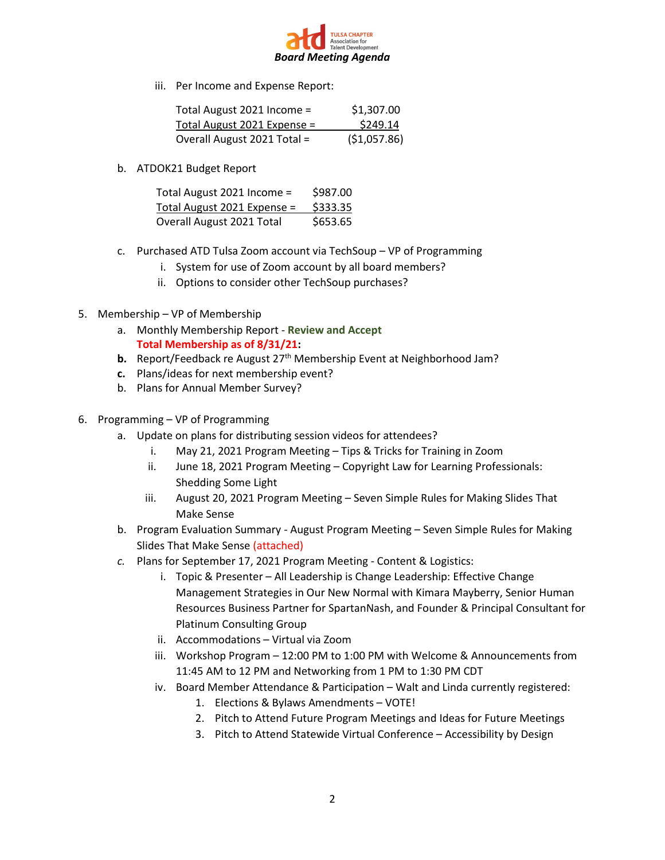

iii. Per Income and Expense Report:

| Total August 2021 Income =  | \$1,307.00    |
|-----------------------------|---------------|
| Total August 2021 Expense = | \$249.14      |
| Overall August 2021 Total = | ( \$1,057.86) |

b. ATDOK21 Budget Report

| Total August 2021 Income =  | \$987.00 |
|-----------------------------|----------|
| Total August 2021 Expense = | \$333.35 |
| Overall August 2021 Total   | \$653.65 |

- c. Purchased ATD Tulsa Zoom account via TechSoup VP of Programming
	- i. System for use of Zoom account by all board members?
	- ii. Options to consider other TechSoup purchases?
- 5. Membership VP of Membership
	- a. Monthly Membership Report **Review and Accept Total Membership as of 8/31/21:**
	- **b.** Report/Feedback re August 27<sup>th</sup> Membership Event at Neighborhood Jam?
	- **c.** Plans/ideas for next membership event?
	- b. Plans for Annual Member Survey?
- 6. Programming VP of Programming
	- a. Update on plans for distributing session videos for attendees?
		- i. May 21, 2021 Program Meeting Tips & Tricks for Training in Zoom
		- ii. June 18, 2021 Program Meeting Copyright Law for Learning Professionals: Shedding Some Light
		- iii. August 20, 2021 Program Meeting Seven Simple Rules for Making Slides That Make Sense
	- b. Program Evaluation Summary August Program Meeting Seven Simple Rules for Making Slides That Make Sense (attached)
	- *c.* Plans for September 17, 2021 Program Meeting Content & Logistics:
		- i. Topic & Presenter All Leadership is Change Leadership: Effective Change Management Strategies in Our New Normal with Kimara Mayberry, Senior Human Resources Business Partner for SpartanNash, and Founder & Principal Consultant for Platinum Consulting Group
		- ii. Accommodations Virtual via Zoom
		- iii. Workshop Program 12:00 PM to 1:00 PM with Welcome & Announcements from 11:45 AM to 12 PM and Networking from 1 PM to 1:30 PM CDT
		- iv. Board Member Attendance & Participation Walt and Linda currently registered:
			- 1. Elections & Bylaws Amendments VOTE!
			- 2. Pitch to Attend Future Program Meetings and Ideas for Future Meetings
			- 3. Pitch to Attend Statewide Virtual Conference Accessibility by Design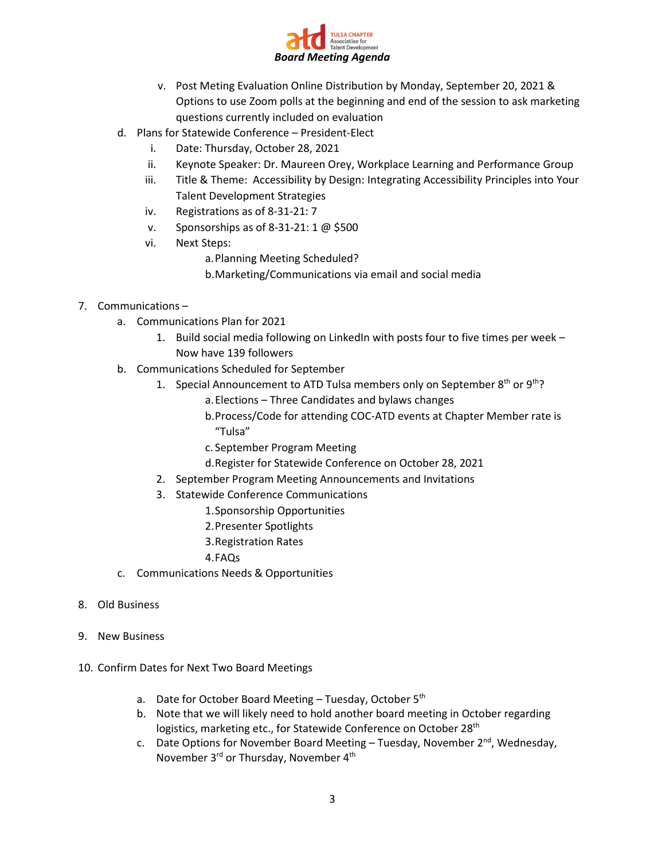

- v. Post Meting Evaluation Online Distribution by Monday, September 20, 2021 & Options to use Zoom polls at the beginning and end of the session to ask marketing questions currently included on evaluation
- d. Plans for Statewide Conference President-Elect
	- i. Date: Thursday, October 28, 2021
	- ii. Keynote Speaker: Dr. Maureen Orey, Workplace Learning and Performance Group
	- iii. Title & Theme: Accessibility by Design: Integrating Accessibility Principles into Your Talent Development Strategies
	- iv. Registrations as of 8-31-21: 7
	- v. Sponsorships as of 8-31-21: 1 @ \$500
	- vi. Next Steps:
		- a.Planning Meeting Scheduled?
		- b.Marketing/Communications via email and social media
- 7. Communications
	- a. Communications Plan for 2021
		- 1. Build social media following on LinkedIn with posts four to five times per week Now have 139 followers
	- b. Communications Scheduled for September
		- 1. Special Announcement to ATD Tulsa members only on September  $8<sup>th</sup>$  or  $9<sup>th</sup>$ ?
			- a.Elections Three Candidates and bylaws changes
			- b.Process/Code for attending COC-ATD events at Chapter Member rate is "Tulsa"
			- c. September Program Meeting
			- d.Register for Statewide Conference on October 28, 2021
		- 2. September Program Meeting Announcements and Invitations
		- 3. Statewide Conference Communications
			- 1.Sponsorship Opportunities
			- 2.Presenter Spotlights
			- 3.Registration Rates
			- 4.FAQs
	- c. Communications Needs & Opportunities
- 8. Old Business
- 9. New Business
- 10. Confirm Dates for Next Two Board Meetings
	- a. Date for October Board Meeting Tuesday, October 5<sup>th</sup>
	- b. Note that we will likely need to hold another board meeting in October regarding logistics, marketing etc., for Statewide Conference on October 28<sup>th</sup>
	- c. Date Options for November Board Meeting Tuesday, November  $2^{nd}$ , Wednesday, November 3rd or Thursday, November 4<sup>th</sup>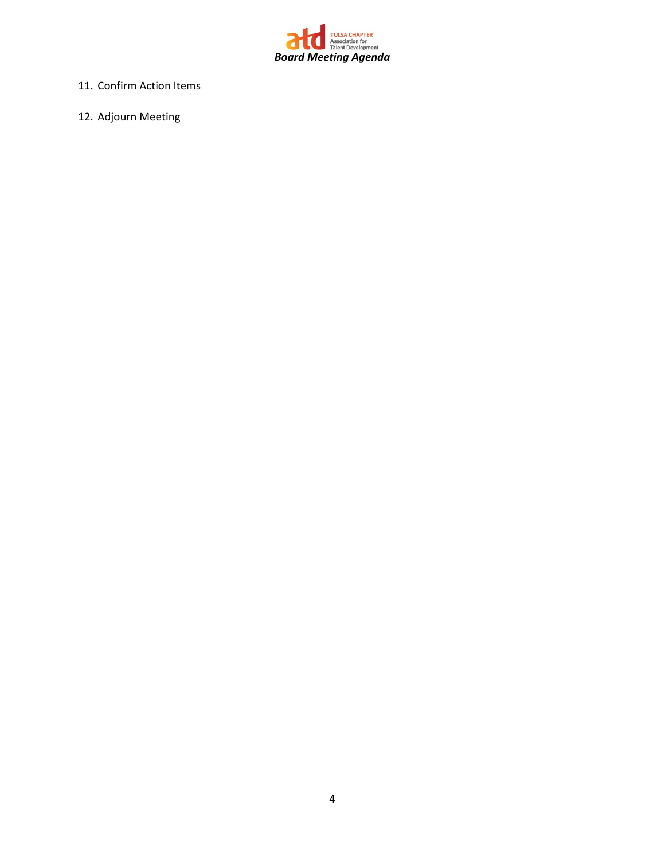

- 11. Confirm Action Items
- 12. Adjourn Meeting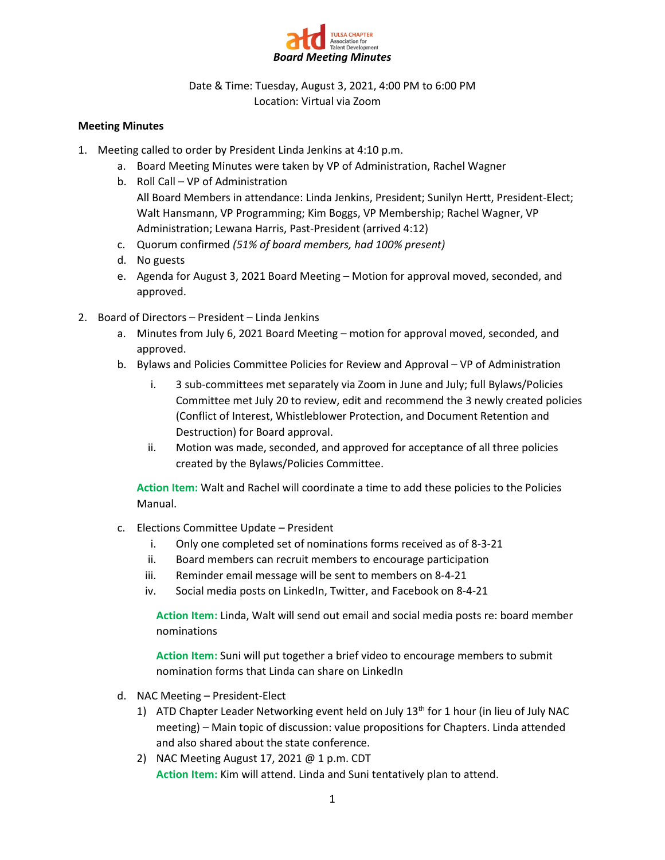

Date & Time: Tuesday, August 3, 2021, 4:00 PM to 6:00 PM Location: Virtual via Zoom

### **Meeting Minutes**

- 1. Meeting called to order by President Linda Jenkins at 4:10 p.m.
	- a. Board Meeting Minutes were taken by VP of Administration, Rachel Wagner
	- b. Roll Call VP of Administration All Board Members in attendance: Linda Jenkins, President; Sunilyn Hertt, President-Elect; Walt Hansmann, VP Programming; Kim Boggs, VP Membership; Rachel Wagner, VP Administration; Lewana Harris, Past-President (arrived 4:12)
	- c. Quorum confirmed *(51% of board members, had 100% present)*
	- d. No guests
	- e. Agenda for August 3, 2021 Board Meeting Motion for approval moved, seconded, and approved.
- 2. Board of Directors President Linda Jenkins
	- a. Minutes from July 6, 2021 Board Meeting motion for approval moved, seconded, and approved.
	- b. Bylaws and Policies Committee Policies for Review and Approval VP of Administration
		- i. 3 sub-committees met separately via Zoom in June and July; full Bylaws/Policies Committee met July 20 to review, edit and recommend the 3 newly created policies (Conflict of Interest, Whistleblower Protection, and Document Retention and Destruction) for Board approval.
		- ii. Motion was made, seconded, and approved for acceptance of all three policies created by the Bylaws/Policies Committee.

**Action Item:** Walt and Rachel will coordinate a time to add these policies to the Policies Manual.

- c. Elections Committee Update President
	- i. Only one completed set of nominations forms received as of 8-3-21
	- ii. Board members can recruit members to encourage participation
	- iii. Reminder email message will be sent to members on 8-4-21
	- iv. Social media posts on LinkedIn, Twitter, and Facebook on 8-4-21

**Action Item:** Linda, Walt will send out email and social media posts re: board member nominations

**Action Item:** Suni will put together a brief video to encourage members to submit nomination forms that Linda can share on LinkedIn

- d. NAC Meeting President-Elect
	- 1) ATD Chapter Leader Networking event held on July  $13<sup>th</sup>$  for 1 hour (in lieu of July NAC meeting) – Main topic of discussion: value propositions for Chapters. Linda attended and also shared about the state conference.
	- 2) NAC Meeting August 17, 2021 @ 1 p.m. CDT **Action Item:** Kim will attend. Linda and Suni tentatively plan to attend.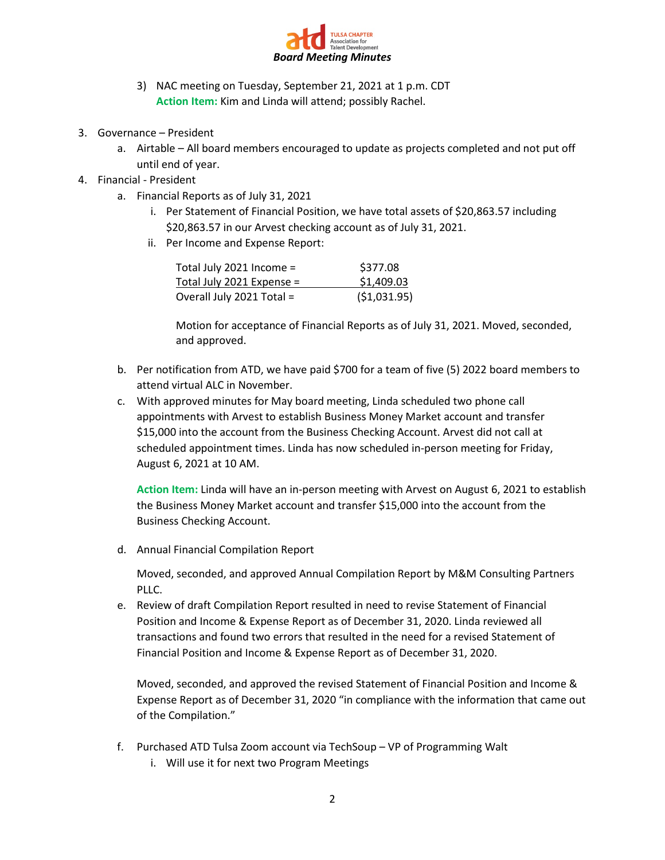

- 3) NAC meeting on Tuesday, September 21, 2021 at 1 p.m. CDT **Action Item:** Kim and Linda will attend; possibly Rachel.
- 3. Governance President
	- a. Airtable All board members encouraged to update as projects completed and not put off until end of year.
- 4. Financial President
	- a. Financial Reports as of July 31, 2021
		- i. Per Statement of Financial Position, we have total assets of \$20,863.57 including \$20,863.57 in our Arvest checking account as of July 31, 2021.
		- ii. Per Income and Expense Report:

| Total July 2021 Income =  | \$377.08      |
|---------------------------|---------------|
| Total July 2021 Expense = | \$1,409.03    |
| Overall July 2021 Total = | ( \$1,031.95) |

Motion for acceptance of Financial Reports as of July 31, 2021. Moved, seconded, and approved.

- b. Per notification from ATD, we have paid \$700 for a team of five (5) 2022 board members to attend virtual ALC in November.
- c. With approved minutes for May board meeting, Linda scheduled two phone call appointments with Arvest to establish Business Money Market account and transfer \$15,000 into the account from the Business Checking Account. Arvest did not call at scheduled appointment times. Linda has now scheduled in-person meeting for Friday, August 6, 2021 at 10 AM.

**Action Item:** Linda will have an in-person meeting with Arvest on August 6, 2021 to establish the Business Money Market account and transfer \$15,000 into the account from the Business Checking Account.

d. Annual Financial Compilation Report

Moved, seconded, and approved Annual Compilation Report by M&M Consulting Partners PLLC.

e. Review of draft Compilation Report resulted in need to revise Statement of Financial Position and Income & Expense Report as of December 31, 2020. Linda reviewed all transactions and found two errors that resulted in the need for a revised Statement of Financial Position and Income & Expense Report as of December 31, 2020.

Moved, seconded, and approved the revised Statement of Financial Position and Income & Expense Report as of December 31, 2020 "in compliance with the information that came out of the Compilation."

- f. Purchased ATD Tulsa Zoom account via TechSoup VP of Programming Walt
	- i. Will use it for next two Program Meetings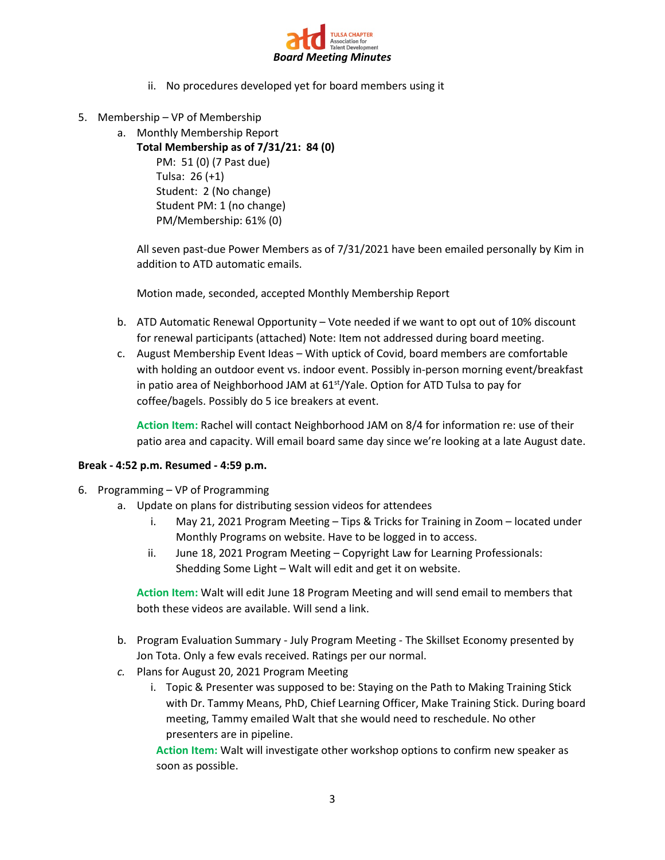

- ii. No procedures developed yet for board members using it
- 5. Membership VP of Membership
	- a. Monthly Membership Report
		- **Total Membership as of 7/31/21: 84 (0)**

PM: 51 (0) (7 Past due) Tulsa: 26 (+1) Student: 2 (No change) Student PM: 1 (no change) PM/Membership: 61% (0)

All seven past-due Power Members as of 7/31/2021 have been emailed personally by Kim in addition to ATD automatic emails.

Motion made, seconded, accepted Monthly Membership Report

- b. ATD Automatic Renewal Opportunity Vote needed if we want to opt out of 10% discount for renewal participants (attached) Note: Item not addressed during board meeting.
- c. August Membership Event Ideas With uptick of Covid, board members are comfortable with holding an outdoor event vs. indoor event. Possibly in-person morning event/breakfast in patio area of Neighborhood JAM at  $61<sup>st</sup>/Y$ ale. Option for ATD Tulsa to pay for coffee/bagels. Possibly do 5 ice breakers at event.

**Action Item:** Rachel will contact Neighborhood JAM on 8/4 for information re: use of their patio area and capacity. Will email board same day since we're looking at a late August date.

### **Break - 4:52 p.m. Resumed - 4:59 p.m.**

- 6. Programming VP of Programming
	- a. Update on plans for distributing session videos for attendees
		- i. May 21, 2021 Program Meeting Tips & Tricks for Training in Zoom located under Monthly Programs on website. Have to be logged in to access.
		- ii. June 18, 2021 Program Meeting Copyright Law for Learning Professionals: Shedding Some Light – Walt will edit and get it on website.

**Action Item:** Walt will edit June 18 Program Meeting and will send email to members that both these videos are available. Will send a link.

- b. Program Evaluation Summary July Program Meeting The Skillset Economy presented by Jon Tota. Only a few evals received. Ratings per our normal.
- *c.* Plans for August 20, 2021 Program Meeting
	- i. Topic & Presenter was supposed to be: Staying on the Path to Making Training Stick with Dr. Tammy Means, PhD, Chief Learning Officer, Make Training Stick. During board meeting, Tammy emailed Walt that she would need to reschedule. No other presenters are in pipeline.

**Action Item:** Walt will investigate other workshop options to confirm new speaker as soon as possible.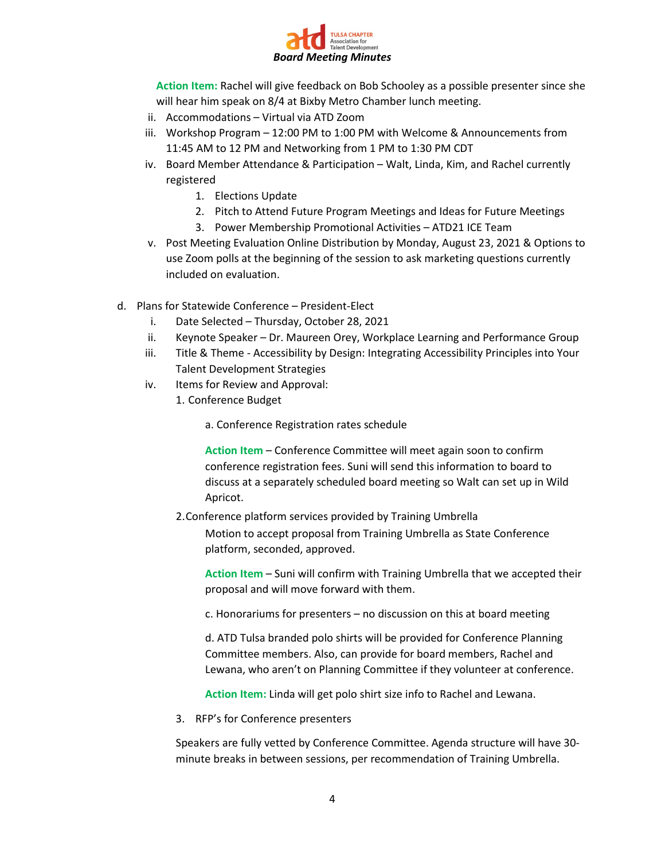

**Action Item:** Rachel will give feedback on Bob Schooley as a possible presenter since she will hear him speak on 8/4 at Bixby Metro Chamber lunch meeting.

- ii. Accommodations Virtual via ATD Zoom
- iii. Workshop Program 12:00 PM to 1:00 PM with Welcome & Announcements from 11:45 AM to 12 PM and Networking from 1 PM to 1:30 PM CDT
- iv. Board Member Attendance & Participation Walt, Linda, Kim, and Rachel currently registered
	- 1. Elections Update
	- 2. Pitch to Attend Future Program Meetings and Ideas for Future Meetings
	- 3. Power Membership Promotional Activities ATD21 ICE Team
- v. Post Meeting Evaluation Online Distribution by Monday, August 23, 2021 & Options to use Zoom polls at the beginning of the session to ask marketing questions currently included on evaluation.
- d. Plans for Statewide Conference President-Elect
	- i. Date Selected Thursday, October 28, 2021
	- ii. Keynote Speaker Dr. Maureen Orey, Workplace Learning and Performance Group
	- iii. Title & Theme Accessibility by Design: Integrating Accessibility Principles into Your Talent Development Strategies
	- iv. Items for Review and Approval:
		- 1. Conference Budget
			- a. Conference Registration rates schedule

**Action Item** – Conference Committee will meet again soon to confirm conference registration fees. Suni will send this information to board to discuss at a separately scheduled board meeting so Walt can set up in Wild Apricot.

2.Conference platform services provided by Training Umbrella

Motion to accept proposal from Training Umbrella as State Conference platform, seconded, approved.

**Action Item** – Suni will confirm with Training Umbrella that we accepted their proposal and will move forward with them.

c. Honorariums for presenters – no discussion on this at board meeting

d. ATD Tulsa branded polo shirts will be provided for Conference Planning Committee members. Also, can provide for board members, Rachel and Lewana, who aren't on Planning Committee if they volunteer at conference.

**Action Item:** Linda will get polo shirt size info to Rachel and Lewana.

3. RFP's for Conference presenters

Speakers are fully vetted by Conference Committee. Agenda structure will have 30 minute breaks in between sessions, per recommendation of Training Umbrella.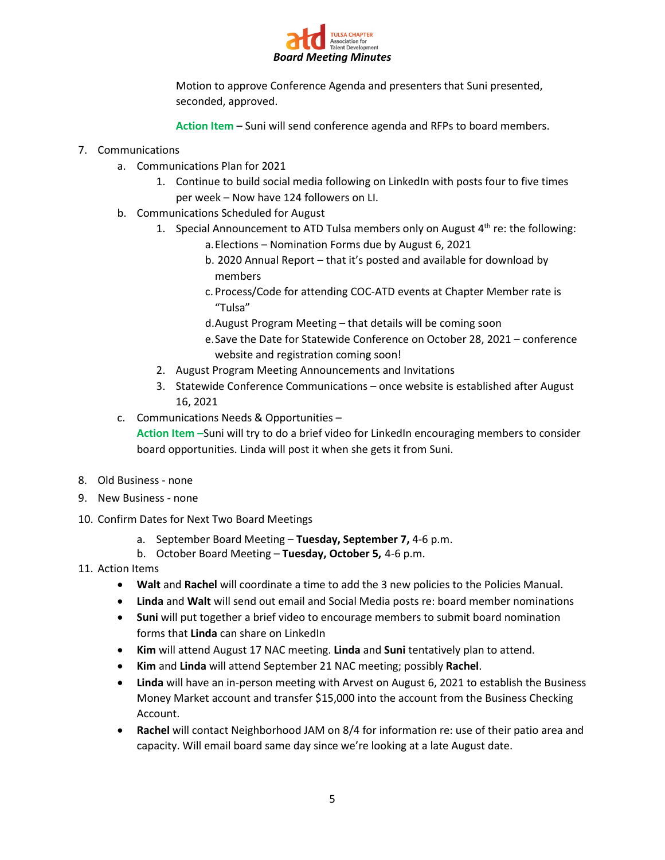

Motion to approve Conference Agenda and presenters that Suni presented, seconded, approved.

**Action Item** – Suni will send conference agenda and RFPs to board members.

### 7. Communications

- a. Communications Plan for 2021
	- 1. Continue to build social media following on LinkedIn with posts four to five times per week – Now have 124 followers on LI.
- b. Communications Scheduled for August
	- 1. Special Announcement to ATD Tulsa members only on August  $4<sup>th</sup>$  re: the following: a.Elections – Nomination Forms due by August 6, 2021
		- b. 2020 Annual Report that it's posted and available for download by members
		- c. Process/Code for attending COC-ATD events at Chapter Member rate is "Tulsa"
		- d.August Program Meeting that details will be coming soon
		- e.Save the Date for Statewide Conference on October 28, 2021 conference website and registration coming soon!
	- 2. August Program Meeting Announcements and Invitations
	- 3. Statewide Conference Communications once website is established after August 16, 2021
- c. Communications Needs & Opportunities –

**Action Item –**Suni will try to do a brief video for LinkedIn encouraging members to consider board opportunities. Linda will post it when she gets it from Suni.

- 8. Old Business none
- 9. New Business none
- 10. Confirm Dates for Next Two Board Meetings
	- a. September Board Meeting **Tuesday, September 7,** 4-6 p.m.
	- b. October Board Meeting **Tuesday, October 5,** 4-6 p.m.
- 11. Action Items
	- **Walt** and **Rachel** will coordinate a time to add the 3 new policies to the Policies Manual.
	- **Linda** and **Walt** will send out email and Social Media posts re: board member nominations
	- **Suni** will put together a brief video to encourage members to submit board nomination forms that **Linda** can share on LinkedIn
	- **Kim** will attend August 17 NAC meeting. **Linda** and **Suni** tentatively plan to attend.
	- **Kim** and **Linda** will attend September 21 NAC meeting; possibly **Rachel**.
	- **Linda** will have an in-person meeting with Arvest on August 6, 2021 to establish the Business Money Market account and transfer \$15,000 into the account from the Business Checking Account.
	- **Rachel** will contact Neighborhood JAM on 8/4 for information re: use of their patio area and capacity. Will email board same day since we're looking at a late August date.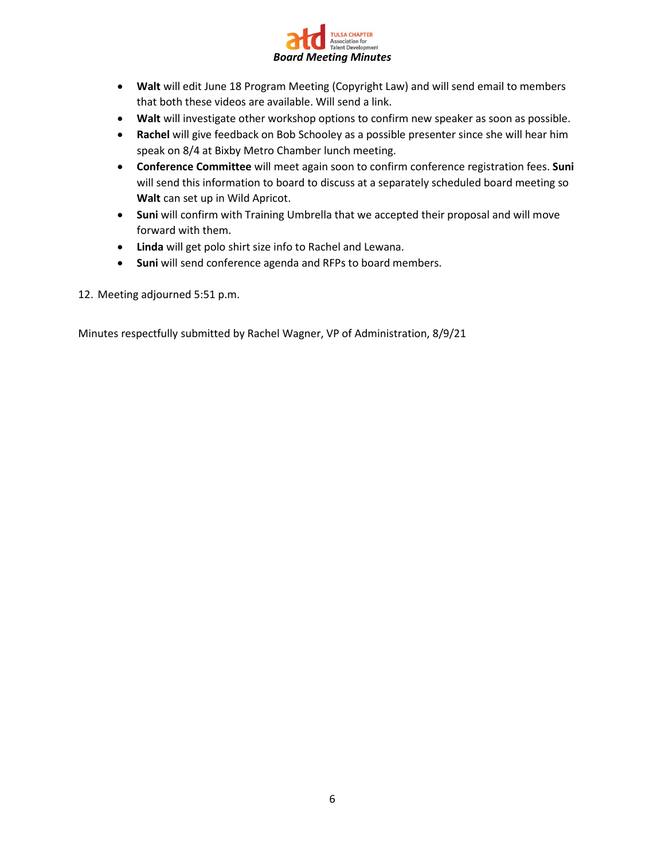

- **Walt** will edit June 18 Program Meeting (Copyright Law) and will send email to members that both these videos are available. Will send a link.
- **Walt** will investigate other workshop options to confirm new speaker as soon as possible.
- **Rachel** will give feedback on Bob Schooley as a possible presenter since she will hear him speak on 8/4 at Bixby Metro Chamber lunch meeting.
- **Conference Committee** will meet again soon to confirm conference registration fees. **Suni**  will send this information to board to discuss at a separately scheduled board meeting so **Walt** can set up in Wild Apricot.
- **Suni** will confirm with Training Umbrella that we accepted their proposal and will move forward with them.
- **Linda** will get polo shirt size info to Rachel and Lewana.
- **Suni** will send conference agenda and RFPs to board members.
- 12. Meeting adjourned 5:51 p.m.

Minutes respectfully submitted by Rachel Wagner, VP of Administration, 8/9/21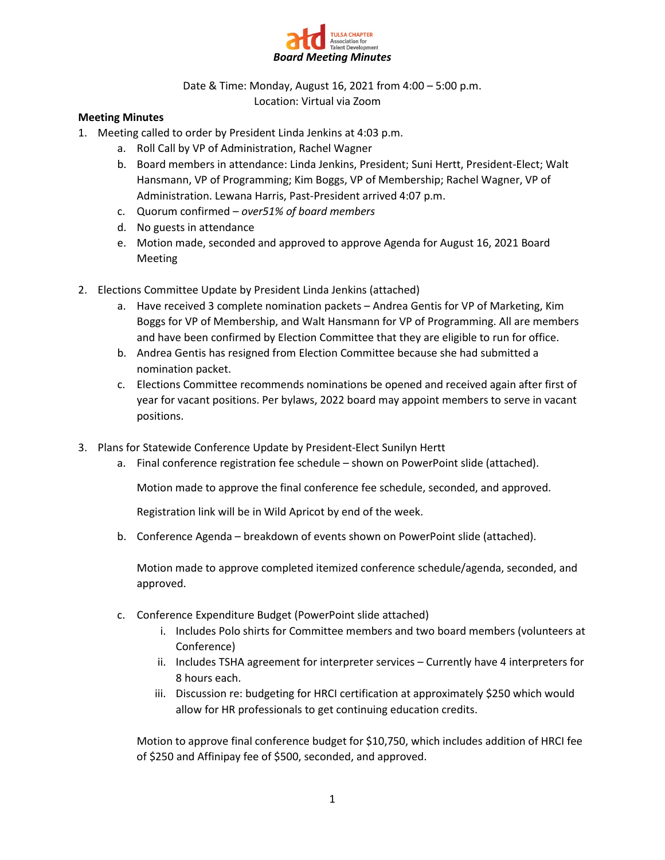

Date & Time: Monday, August 16, 2021 from 4:00 – 5:00 p.m. Location: Virtual via Zoom

### **Meeting Minutes**

- 1. Meeting called to order by President Linda Jenkins at 4:03 p.m.
	- a. Roll Call by VP of Administration, Rachel Wagner
	- b. Board members in attendance: Linda Jenkins, President; Suni Hertt, President-Elect; Walt Hansmann, VP of Programming; Kim Boggs, VP of Membership; Rachel Wagner, VP of Administration. Lewana Harris, Past-President arrived 4:07 p.m.
	- c. Quorum confirmed *over51% of board members*
	- d. No guests in attendance
	- e. Motion made, seconded and approved to approve Agenda for August 16, 2021 Board Meeting
- 2. Elections Committee Update by President Linda Jenkins (attached)
	- a. Have received 3 complete nomination packets Andrea Gentis for VP of Marketing, Kim Boggs for VP of Membership, and Walt Hansmann for VP of Programming. All are members and have been confirmed by Election Committee that they are eligible to run for office.
	- b. Andrea Gentis has resigned from Election Committee because she had submitted a nomination packet.
	- c. Elections Committee recommends nominations be opened and received again after first of year for vacant positions. Per bylaws, 2022 board may appoint members to serve in vacant positions.
- 3. Plans for Statewide Conference Update by President-Elect Sunilyn Hertt
	- a. Final conference registration fee schedule shown on PowerPoint slide (attached).

Motion made to approve the final conference fee schedule, seconded, and approved.

Registration link will be in Wild Apricot by end of the week.

b. Conference Agenda – breakdown of events shown on PowerPoint slide (attached).

Motion made to approve completed itemized conference schedule/agenda, seconded, and approved.

- c. Conference Expenditure Budget (PowerPoint slide attached)
	- i. Includes Polo shirts for Committee members and two board members (volunteers at Conference)
	- ii. Includes TSHA agreement for interpreter services Currently have 4 interpreters for 8 hours each.
	- iii. Discussion re: budgeting for HRCI certification at approximately \$250 which would allow for HR professionals to get continuing education credits.

Motion to approve final conference budget for \$10,750, which includes addition of HRCI fee of \$250 and Affinipay fee of \$500, seconded, and approved.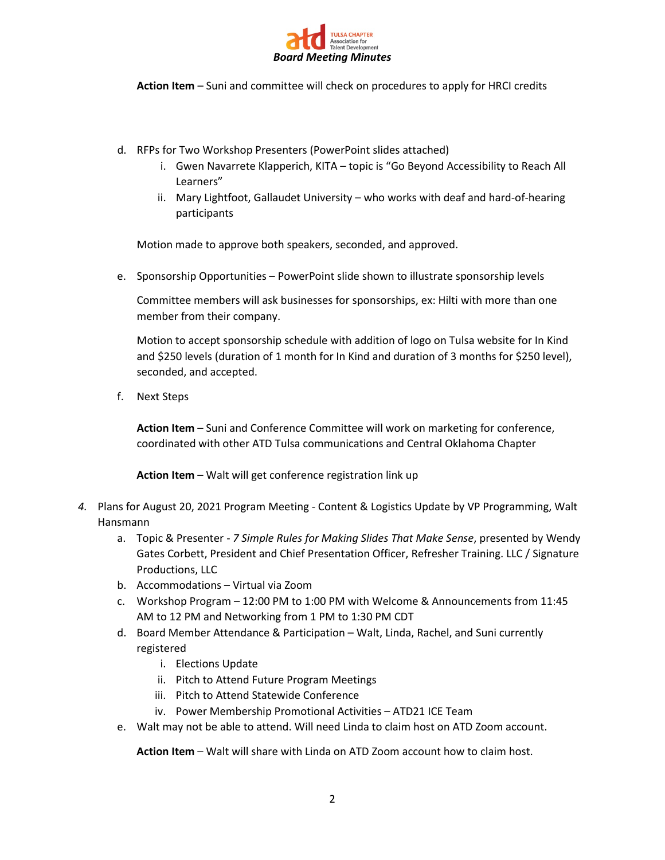

**Action Item** – Suni and committee will check on procedures to apply for HRCI credits

- d. RFPs for Two Workshop Presenters (PowerPoint slides attached)
	- i. Gwen Navarrete Klapperich, KITA topic is "Go Beyond Accessibility to Reach All Learners"
	- ii. Mary Lightfoot, Gallaudet University who works with deaf and hard-of-hearing participants

Motion made to approve both speakers, seconded, and approved.

e. Sponsorship Opportunities – PowerPoint slide shown to illustrate sponsorship levels

Committee members will ask businesses for sponsorships, ex: Hilti with more than one member from their company.

Motion to accept sponsorship schedule with addition of logo on Tulsa website for In Kind and \$250 levels (duration of 1 month for In Kind and duration of 3 months for \$250 level), seconded, and accepted.

f. Next Steps

**Action Item** – Suni and Conference Committee will work on marketing for conference, coordinated with other ATD Tulsa communications and Central Oklahoma Chapter

**Action Item** – Walt will get conference registration link up

- *4.* Plans for August 20, 2021 Program Meeting Content & Logistics Update by VP Programming, Walt Hansmann
	- a. Topic & Presenter *7 Simple Rules for Making Slides That Make Sense*, presented by Wendy Gates Corbett, President and Chief Presentation Officer, Refresher Training. LLC / Signature Productions, LLC
	- b. Accommodations Virtual via Zoom
	- c. Workshop Program 12:00 PM to 1:00 PM with Welcome & Announcements from 11:45 AM to 12 PM and Networking from 1 PM to 1:30 PM CDT
	- d. Board Member Attendance & Participation Walt, Linda, Rachel, and Suni currently registered
		- i. Elections Update
		- ii. Pitch to Attend Future Program Meetings
		- iii. Pitch to Attend Statewide Conference
		- iv. Power Membership Promotional Activities ATD21 ICE Team
	- e. Walt may not be able to attend. Will need Linda to claim host on ATD Zoom account.

**Action Item** – Walt will share with Linda on ATD Zoom account how to claim host.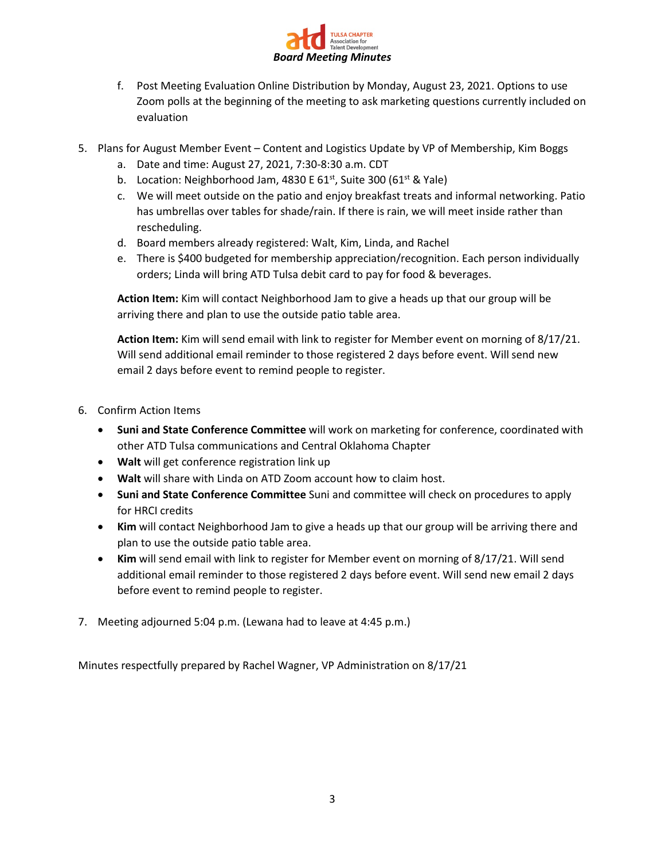

- f. Post Meeting Evaluation Online Distribution by Monday, August 23, 2021. Options to use Zoom polls at the beginning of the meeting to ask marketing questions currently included on evaluation
- 5. Plans for August Member Event Content and Logistics Update by VP of Membership, Kim Boggs
	- a. Date and time: August 27, 2021, 7:30-8:30 a.m. CDT
	- b. Location: Neighborhood Jam, 4830 E  $61^{st}$ , Suite 300 ( $61^{st}$  & Yale)
	- c. We will meet outside on the patio and enjoy breakfast treats and informal networking. Patio has umbrellas over tables for shade/rain. If there is rain, we will meet inside rather than rescheduling.
	- d. Board members already registered: Walt, Kim, Linda, and Rachel
	- e. There is \$400 budgeted for membership appreciation/recognition. Each person individually orders; Linda will bring ATD Tulsa debit card to pay for food & beverages.

**Action Item:** Kim will contact Neighborhood Jam to give a heads up that our group will be arriving there and plan to use the outside patio table area.

**Action Item:** Kim will send email with link to register for Member event on morning of 8/17/21. Will send additional email reminder to those registered 2 days before event. Will send new email 2 days before event to remind people to register.

- 6. Confirm Action Items
	- **Suni and State Conference Committee** will work on marketing for conference, coordinated with other ATD Tulsa communications and Central Oklahoma Chapter
	- **Walt** will get conference registration link up
	- **Walt** will share with Linda on ATD Zoom account how to claim host.
	- **Suni and State Conference Committee** Suni and committee will check on procedures to apply for HRCI credits
	- **Kim** will contact Neighborhood Jam to give a heads up that our group will be arriving there and plan to use the outside patio table area.
	- **Kim** will send email with link to register for Member event on morning of 8/17/21. Will send additional email reminder to those registered 2 days before event. Will send new email 2 days before event to remind people to register.
- 7. Meeting adjourned 5:04 p.m. (Lewana had to leave at 4:45 p.m.)

Minutes respectfully prepared by Rachel Wagner, VP Administration on 8/17/21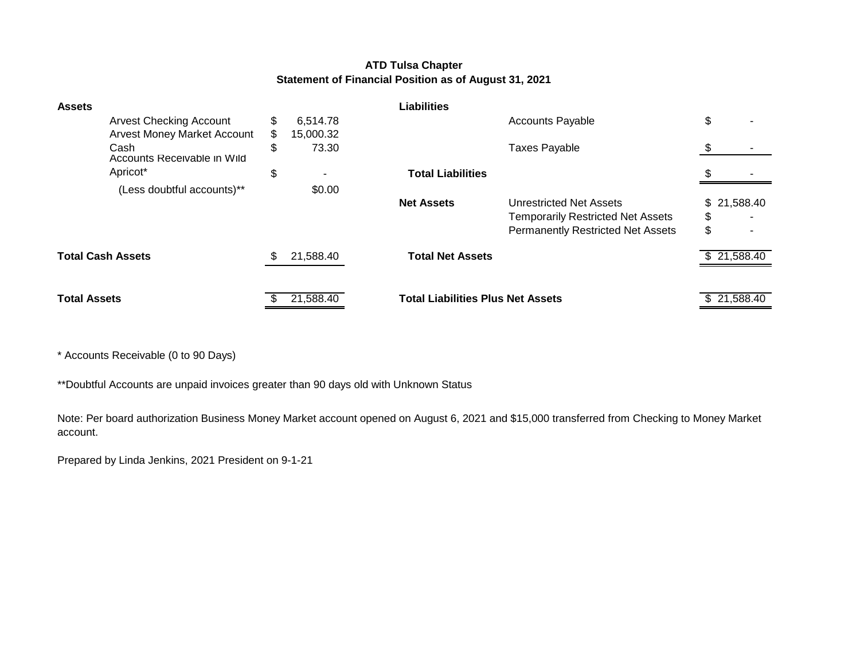### **ATD Tulsa Chapter Statement of Financial Position as of August 31, 2021**

| <b>Assets</b>                       |    |           | <b>Liabilities</b>                       |                                          |             |
|-------------------------------------|----|-----------|------------------------------------------|------------------------------------------|-------------|
| <b>Arvest Checking Account</b>      | \$ | 6,514.78  |                                          | <b>Accounts Payable</b>                  | \$          |
| <b>Arvest Money Market Account</b>  | S. | 15,000.32 |                                          |                                          |             |
| Cash<br>Accounts Receivable in Wild | \$ | 73.30     |                                          | <b>Taxes Payable</b>                     |             |
| Apricot*                            | \$ |           | <b>Total Liabilities</b>                 |                                          |             |
| (Less doubtful accounts)**          |    | \$0.00    |                                          |                                          |             |
|                                     |    |           | <b>Net Assets</b>                        | Unrestricted Net Assets                  | \$21,588.40 |
|                                     |    |           |                                          | <b>Temporarily Restricted Net Assets</b> | \$          |
|                                     |    |           |                                          | <b>Permanently Restricted Net Assets</b> | \$          |
| <b>Total Cash Assets</b>            |    | 21,588.40 | <b>Total Net Assets</b>                  |                                          | \$21,588.40 |
|                                     |    |           |                                          |                                          |             |
| <b>Total Assets</b>                 |    | 21,588.40 | <b>Total Liabilities Plus Net Assets</b> |                                          | \$21,588.40 |
|                                     |    |           |                                          |                                          |             |

\* Accounts Receivable (0 to 90 Days)

\*\*Doubtful Accounts are unpaid invoices greater than 90 days old with Unknown Status

Note: Per board authorization Business Money Market account opened on August 6, 2021 and \$15,000 transferred from Checking to Money Market account.

Prepared by Linda Jenkins, 2021 President on 9-1-21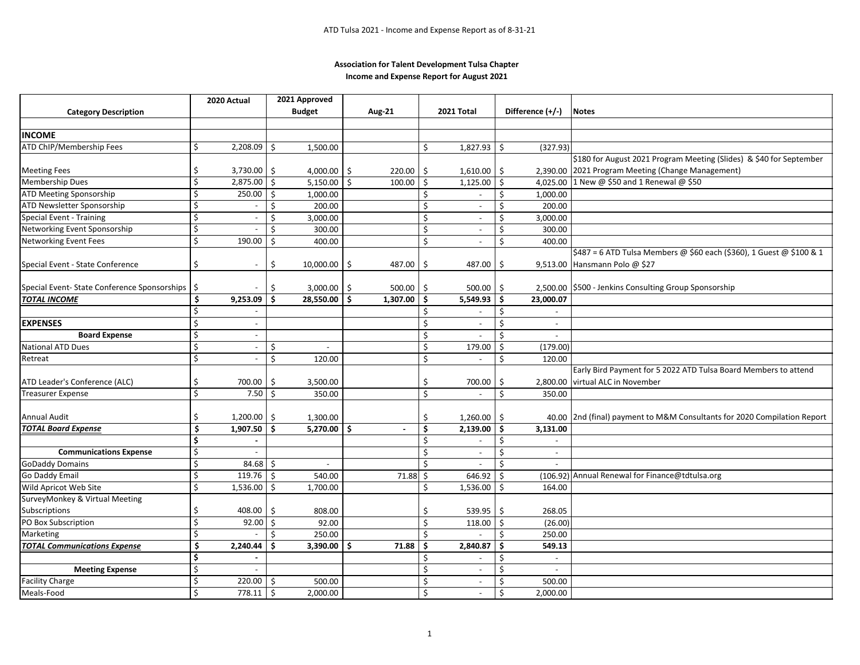#### **Income and Expense Report for August 2021 Association for Talent Development Tulsa Chapter**

|                                              | 2020 Actual                                 |                          | 2021 Approved                  |               |                    |                              |               |                              |                                                                            |
|----------------------------------------------|---------------------------------------------|--------------------------|--------------------------------|---------------|--------------------|------------------------------|---------------|------------------------------|----------------------------------------------------------------------------|
| <b>Category Description</b>                  |                                             |                          | <b>Budget</b>                  | <b>Aug-21</b> |                    | 2021 Total                   |               | Difference (+/-)             | <b>Notes</b>                                                               |
|                                              |                                             |                          |                                |               |                    |                              |               |                              |                                                                            |
| <b>INCOME</b>                                |                                             |                          |                                |               |                    |                              |               |                              |                                                                            |
| ATD ChIP/Membership Fees                     | \$<br>2,208.09                              |                          | Ŝ.<br>1,500.00                 |               | Ś.                 | $1,827.93$ \$                |               | (327.93)                     |                                                                            |
|                                              |                                             |                          |                                |               |                    |                              |               |                              | \$180 for August 2021 Program Meeting (Slides) & \$40 for September        |
| <b>Meeting Fees</b>                          | 3,730.00<br>\$                              |                          | Ŝ.<br>4,000.00 \$              | 220.00        | -\$                | 1,610.00                     | Ŝ.            |                              | 2,390.00 2021 Program Meeting (Change Management)                          |
| <b>Membership Dues</b>                       | $\overline{\xi}$<br>2,875.00                |                          | S.<br>$5,150.00$ \$            | 100.00        | Ŝ.                 | 1,125.00                     | $\mathsf{\$}$ |                              | 4,025.00 1 New @ \$50 and 1 Renewal @ \$50                                 |
| ATD Meeting Sponsorship                      | \$<br>$250.00$ \$                           |                          | 1,000.00                       |               | Ŝ.                 | $\overline{\phantom{a}}$     | Ŝ.            | 1,000.00                     |                                                                            |
| ATD Newsletter Sponsorship                   | \$                                          |                          | Ś<br>200.00                    |               | Ś                  | $\overline{\phantom{a}}$     | Ś.            | 200.00                       |                                                                            |
| <b>Special Event - Training</b>              | Ś                                           | $\overline{\phantom{a}}$ | Ś<br>3,000.00                  |               | Ś                  | $\overline{\phantom{a}}$     | Ŝ.            | 3,000.00                     |                                                                            |
| Networking Event Sponsorship                 | $\overline{\mathcal{S}}$                    |                          | Ŝ.<br>300.00                   |               | Ś.                 | $\sim$                       | Ŝ.            | 300.00                       |                                                                            |
| Networking Event Fees                        | \$<br>190.00                                |                          | Ś<br>400.00                    |               | $\mathsf{\dot{S}}$ | $\overline{a}$               | Ś.            | 400.00                       |                                                                            |
|                                              |                                             |                          |                                |               |                    |                              |               |                              | \$487 = 6 ATD Tulsa Members @ \$60 each (\$360), 1 Guest @ \$100 & 1       |
| Special Event - State Conference             | \$                                          | $\overline{\phantom{a}}$ | \$<br>$10,000.00$ \$           | 487.00        | \$                 | 487.00                       | -\$           |                              | 9,513.00 Hansmann Polo @ \$27                                              |
|                                              |                                             |                          |                                |               |                    |                              |               |                              |                                                                            |
| Special Event- State Conference Sponsorships | \$                                          |                          | \$<br>$3,000.00$ \$            | 500.00        | S.                 | 500.00                       | \$            |                              | 2,500.00 \$500 - Jenkins Consulting Group Sponsorship                      |
| <b>TOTAL INCOME</b>                          | $\overline{\boldsymbol{\zeta}}$<br>9,253.09 |                          | Ś.<br>$28,550.00$ \$           | $1,307.00$ \$ |                    | 5,549.93                     | Ŝ.            | 23,000.07                    |                                                                            |
|                                              | \$                                          |                          |                                |               | Š.                 | $\overline{\phantom{a}}$     | Ŝ.            |                              |                                                                            |
| <b>EXPENSES</b>                              | \$                                          |                          |                                |               | \$                 | $\overline{\phantom{a}}$     | $\zeta$       | $\blacksquare$               |                                                                            |
| <b>Board Expense</b>                         | \$                                          | $\sim$                   |                                |               | \$                 |                              | $\zeta$       |                              |                                                                            |
| <b>National ATD Dues</b>                     | Ś                                           | $\overline{\phantom{a}}$ | Ś.<br>$\omega$                 |               | Ś                  | 179.00                       | Ŝ.            | (179.00)                     |                                                                            |
| Retreat                                      | Ś                                           | $\overline{\phantom{a}}$ | Ŝ.<br>120.00                   |               | $\zeta$            |                              | $\zeta$       | 120.00                       |                                                                            |
|                                              |                                             |                          |                                |               |                    |                              |               |                              | Early Bird Payment for 5 2022 ATD Tulsa Board Members to attend            |
| ATD Leader's Conference (ALC)                | \$<br>700.00                                |                          | \$<br>3,500.00                 |               | Ś                  | 700.00                       | Ŝ.            | 2,800.00                     | virtual ALC in November                                                    |
| Freasurer Expense                            | \$                                          | 7.50                     | Ś.<br>350.00                   |               | Ś.                 | $\qquad \qquad \blacksquare$ | $\zeta$       | 350.00                       |                                                                            |
|                                              |                                             |                          |                                |               |                    |                              |               |                              |                                                                            |
| Annual Audit                                 | \$<br>1,200.00                              |                          | \$<br>1,300.00                 |               | \$                 | 1,260.00                     | Ŝ.            |                              | 40.00   2nd (final) payment to M&M Consultants for 2020 Compilation Report |
| <b>TOTAL Board Expense</b>                   | \$.<br>$1,907.50$ \$                        |                          | $5,270.00$ \$                  | $\mathbf{r}$  | \$.                | $2,139.00$ \$                |               | 3,131.00                     |                                                                            |
|                                              | \$                                          |                          |                                |               | Ś                  |                              | \$            |                              |                                                                            |
| <b>Communications Expense</b>                | \$                                          |                          |                                |               | Ś.                 | $\overline{\phantom{a}}$     | Ŝ.            | $\overline{\phantom{a}}$     |                                                                            |
| <b>GoDaddy Domains</b>                       | \$                                          | 84.68                    | S.<br>$\overline{\phantom{a}}$ |               | Ś                  |                              | $\varsigma$   |                              |                                                                            |
| Go Daddy Email                               | \$<br>119.76                                |                          | Ŝ.<br>540.00                   | 71.88         | Ŝ.                 | 646.92                       | Ŝ.            |                              | (106.92) Annual Renewal for Finance@tdtulsa.org                            |
| Wild Apricot Web Site                        | \$<br>1,536.00                              |                          | Ŝ.<br>1,700.00                 |               | Ŝ.                 | 1,536.00                     | Ŝ.            | 164.00                       |                                                                            |
| SurveyMonkey & Virtual Meeting               |                                             |                          |                                |               |                    |                              |               |                              |                                                                            |
| Subscriptions                                | 408.00<br>\$                                |                          | S.<br>808.00                   |               | Ś                  | 539.95                       | Ŝ.            | 268.05                       |                                                                            |
| PO Box Subscription                          | \$<br>92.00                                 |                          | \$<br>92.00                    |               | Ś                  | 118.00                       | \$            | (26.00)                      |                                                                            |
| Marketing                                    | \$                                          |                          | 250.00<br>Ŝ.                   |               | Ś.                 |                              | Ŝ.            | 250.00                       |                                                                            |
| <b>TOTAL Communications Expense</b>          | $\overline{\boldsymbol{\zeta}}$<br>2,240.44 |                          | Ś.<br>$3,390.00$ \$            | 71.88         | Ś                  | 2,840.87                     | Ŝ.            | 549.13                       |                                                                            |
|                                              | Ś                                           |                          |                                |               | Ś                  | $\overline{\phantom{a}}$     | Ŝ.            | $\overline{\phantom{a}}$     |                                                                            |
| <b>Meeting Expense</b>                       | \$                                          |                          |                                |               | Ś                  | $\overline{\phantom{a}}$     | Ŝ.            | $\qquad \qquad \blacksquare$ |                                                                            |
| <b>Facility Charge</b>                       | \$<br>220.00                                |                          | Ŝ.<br>500.00                   |               | \$                 | $\sim$                       | Ŝ.            | 500.00                       |                                                                            |
| Meals-Food                                   | Ś<br>778.11                                 | $\vert$ \$               | 2,000.00                       |               | $\dot{\mathsf{S}}$ | $\sim$                       | \$            | 2,000.00                     |                                                                            |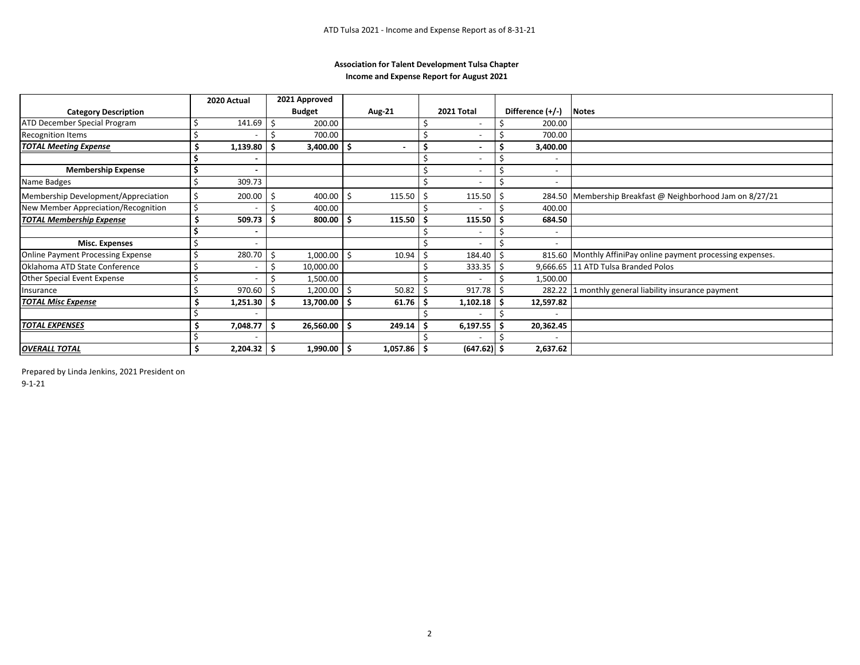#### **Income and Expense Report for August 2021 Association for Talent Development Tulsa Chapter**

|                                     |    | 2020 Actual    |    | 2021 Approved  |      |               |   |                          |                          |                                                              |
|-------------------------------------|----|----------------|----|----------------|------|---------------|---|--------------------------|--------------------------|--------------------------------------------------------------|
| <b>Category Description</b>         |    |                |    | <b>Budget</b>  |      | Aug-21        |   | 2021 Total               | Difference (+/-)         | <b>Notes</b>                                                 |
| ATD December Special Program        |    | 141.69         | Ŝ. | 200.00         |      |               |   | -                        | 200.00                   |                                                              |
| <b>Recognition Items</b>            |    |                |    | 700.00         |      |               |   | $\overline{\phantom{0}}$ | 700.00                   |                                                              |
| <b>TOTAL Meeting Expense</b>        |    | 1,139.80       | S  | $3,400.00$ \$  |      |               |   | $\blacksquare$           | 3,400.00                 |                                                              |
|                                     |    |                |    |                |      |               |   | -                        |                          |                                                              |
| <b>Membership Expense</b>           |    | $\blacksquare$ |    |                |      |               |   | $\overline{\phantom{a}}$ | $\overline{\phantom{a}}$ |                                                              |
| Name Badges                         |    | 309.73         |    |                |      |               |   |                          |                          |                                                              |
| Membership Development/Appreciation |    | 200.00         |    | 400.00         |      | 115.50        |   | 115.50                   |                          | 284.50 Membership Breakfast @ Neighborhood Jam on 8/27/21    |
| New Member Appreciation/Recognition |    |                |    | 400.00         |      |               |   |                          | 400.00                   |                                                              |
| <b>TOTAL Membership Expense</b>     |    | 509.73         |    | $800.00$   \$  |      | 115.50        |   | 115.50                   | 684.50                   |                                                              |
|                                     |    |                |    |                |      |               |   |                          |                          |                                                              |
| <b>Misc. Expenses</b>               |    |                |    |                |      |               |   |                          |                          |                                                              |
| Online Payment Processing Expense   |    | 280.70         |    | 1,000.00       | l \$ | 10.94         |   | 184.40                   |                          | 815.60 Monthly AffiniPay online payment processing expenses. |
| Oklahoma ATD State Conference       |    |                |    | 10,000.00      |      |               |   | 333.35                   |                          | 9,666.65 11 ATD Tulsa Branded Polos                          |
| <b>Other Special Event Expense</b>  |    |                |    | 1,500.00       |      |               |   |                          | 1,500.00                 |                                                              |
| Insurance                           |    | 970.60         |    | $1,200.00$ \$  |      | 50.82         |   | 917.78                   | 282.22                   | 1 monthly general liability insurance payment                |
| <b>TOTAL Misc Expense</b>           |    | 1,251.30       |    | 13,700.00 \$   |      | 61.76         | Ś | 1,102.18                 | 12,597.82                |                                                              |
|                                     |    |                |    |                |      |               |   |                          |                          |                                                              |
| <b>TOTAL EXPENSES</b>               | Ś  | 7,048.77       | S  | $26,560.00$ \$ |      | 249.14        |   | 6,197.55                 | 20,362.45                |                                                              |
|                                     |    |                |    |                |      |               |   |                          |                          |                                                              |
| <b>OVERALL TOTAL</b>                | \$ | $2,204.32$ \$  |    | $1,990.00$ \$  |      | $1,057.86$ \$ |   | $(647.62)$ \$            | 2,637.62                 |                                                              |

Prepared by Linda Jenkins, 2021 President on

9-1-21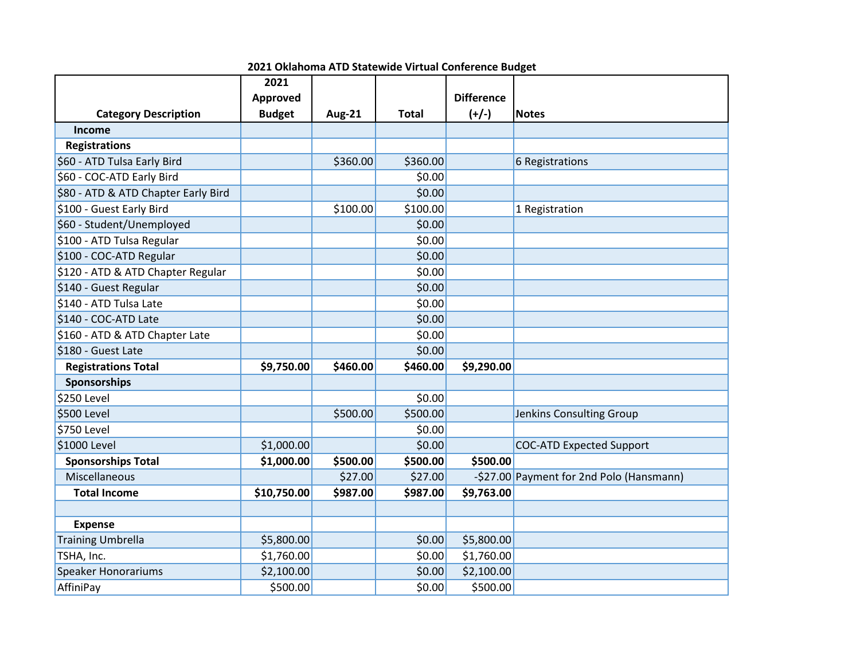|                                     | 2021          |               |              |                   |                                          |
|-------------------------------------|---------------|---------------|--------------|-------------------|------------------------------------------|
|                                     | Approved      |               |              | <b>Difference</b> |                                          |
| <b>Category Description</b>         | <b>Budget</b> | <b>Aug-21</b> | <b>Total</b> | $(+/-)$           | <b>Notes</b>                             |
| Income                              |               |               |              |                   |                                          |
| <b>Registrations</b>                |               |               |              |                   |                                          |
| \$60 - ATD Tulsa Early Bird         |               | \$360.00      | \$360.00     |                   | 6 Registrations                          |
| \$60 - COC-ATD Early Bird           |               |               | \$0.00       |                   |                                          |
| \$80 - ATD & ATD Chapter Early Bird |               |               | \$0.00       |                   |                                          |
| \$100 - Guest Early Bird            |               | \$100.00      | \$100.00     |                   | 1 Registration                           |
| \$60 - Student/Unemployed           |               |               | \$0.00       |                   |                                          |
| \$100 - ATD Tulsa Regular           |               |               | \$0.00       |                   |                                          |
| \$100 - COC-ATD Regular             |               |               | \$0.00       |                   |                                          |
| \$120 - ATD & ATD Chapter Regular   |               |               | \$0.00       |                   |                                          |
| \$140 - Guest Regular               |               |               | \$0.00       |                   |                                          |
| \$140 - ATD Tulsa Late              |               |               | \$0.00       |                   |                                          |
| \$140 - COC-ATD Late                |               |               | \$0.00       |                   |                                          |
| \$160 - ATD & ATD Chapter Late      |               |               | \$0.00       |                   |                                          |
| \$180 - Guest Late                  |               |               | \$0.00       |                   |                                          |
| <b>Registrations Total</b>          | \$9,750.00    | \$460.00      | \$460.00     | \$9,290.00        |                                          |
| Sponsorships                        |               |               |              |                   |                                          |
| \$250 Level                         |               |               | \$0.00       |                   |                                          |
| \$500 Level                         |               | \$500.00      | \$500.00     |                   | Jenkins Consulting Group                 |
| \$750 Level                         |               |               | \$0.00       |                   |                                          |
| \$1000 Level                        | \$1,000.00    |               | \$0.00       |                   | <b>COC-ATD Expected Support</b>          |
| <b>Sponsorships Total</b>           | \$1,000.00    | \$500.00      | \$500.00     | \$500.00          |                                          |
| Miscellaneous                       |               | \$27.00       | \$27.00      |                   | -\$27.00 Payment for 2nd Polo (Hansmann) |
| <b>Total Income</b>                 | \$10,750.00   | \$987.00      | \$987.00     | \$9,763.00        |                                          |
|                                     |               |               |              |                   |                                          |
| <b>Expense</b>                      |               |               |              |                   |                                          |
| <b>Training Umbrella</b>            | \$5,800.00    |               | \$0.00       | \$5,800.00        |                                          |
| TSHA, Inc.                          | \$1,760.00    |               | \$0.00       | \$1,760.00        |                                          |
| <b>Speaker Honorariums</b>          | \$2,100.00    |               | \$0.00       | \$2,100.00        |                                          |
| AffiniPay                           | \$500.00      |               | \$0.00       | \$500.00          |                                          |

**2021 Oklahoma ATD Statewide Virtual Conference Budget**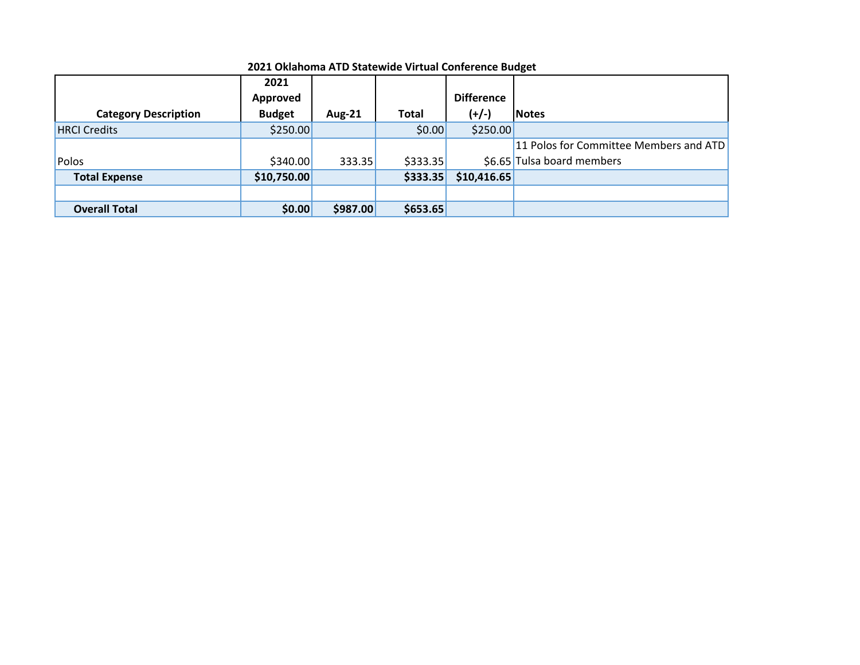|                             | 2021          |               |          |                   |                                        |
|-----------------------------|---------------|---------------|----------|-------------------|----------------------------------------|
|                             | Approved      |               |          | <b>Difference</b> |                                        |
| <b>Category Description</b> | <b>Budget</b> | <b>Aug-21</b> | Total    | $(+/-)$           | <b>Notes</b>                           |
| <b>HRCI Credits</b>         | \$250.00      |               | \$0.00   | \$250.00          |                                        |
|                             |               |               |          |                   | 11 Polos for Committee Members and ATD |
| Polos                       | \$340.00      | 333.35        | \$333.35 |                   | \$6.65 Tulsa board members             |
| <b>Total Expense</b>        | \$10,750.00   |               | \$333.35 | \$10,416.65       |                                        |
|                             |               |               |          |                   |                                        |
| <b>Overall Total</b>        | \$0.00        | \$987.00      | \$653.65 |                   |                                        |

### **2021 Oklahoma ATD Statewide Virtual Conference Budget**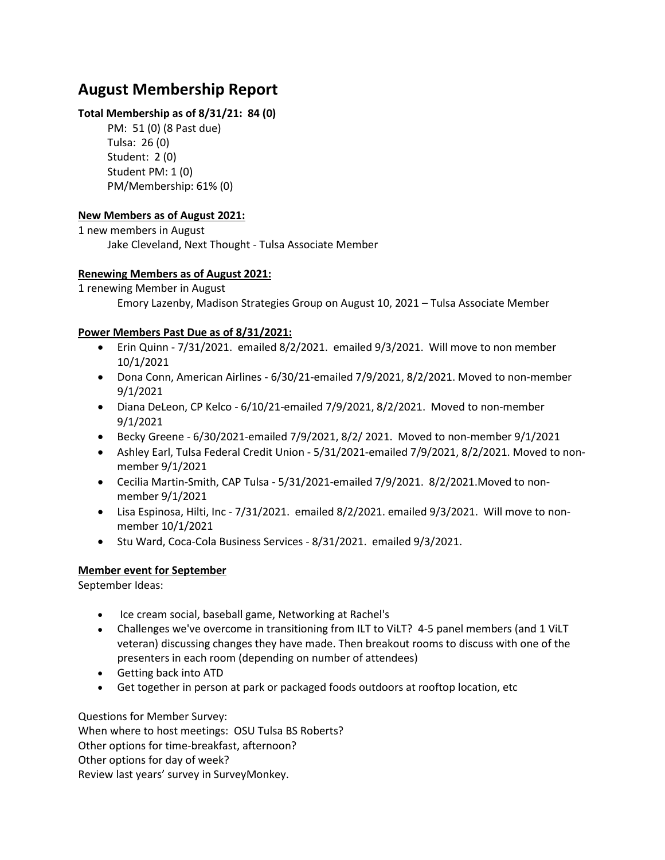## **August Membership Report**

### **Total Membership as of 8/31/21: 84 (0)**

PM: 51 (0) (8 Past due) Tulsa: 26 (0) Student: 2 (0) Student PM: 1 (0) PM/Membership: 61% (0)

## **New Members as of August 2021:**

1 new members in August

Jake Cleveland, Next Thought - Tulsa Associate Member

## **Renewing Members as of August 2021:**

1 renewing Member in August Emory Lazenby, Madison Strategies Group on August 10, 2021 – Tulsa Associate Member

### **Power Members Past Due as of 8/31/2021:**

- Erin Quinn 7/31/2021. emailed 8/2/2021. emailed 9/3/2021. Will move to non member 10/1/2021
- Dona Conn, American Airlines 6/30/21-emailed 7/9/2021, 8/2/2021. Moved to non-member 9/1/2021
- Diana DeLeon, CP Kelco 6/10/21-emailed 7/9/2021, 8/2/2021. Moved to non-member 9/1/2021
- Becky Greene  $6/30/2021$ -emailed 7/9/2021, 8/2/2021. Moved to non-member  $9/1/2021$
- Ashley Earl, Tulsa Federal Credit Union 5/31/2021-emailed 7/9/2021, 8/2/2021. Moved to nonmember 9/1/2021
- Cecilia Martin-Smith, CAP Tulsa 5/31/2021-emailed 7/9/2021. 8/2/2021.Moved to nonmember 9/1/2021
- Lisa Espinosa, Hilti, Inc 7/31/2021. emailed 8/2/2021. emailed 9/3/2021. Will move to nonmember 10/1/2021
- Stu Ward, Coca-Cola Business Services 8/31/2021. emailed 9/3/2021.

## **Member event for September**

September Ideas:

- Ice cream social, baseball game, Networking at Rachel's
- Challenges we've overcome in transitioning from ILT to ViLT? 4-5 panel members (and 1 ViLT veteran) discussing changes they have made. Then breakout rooms to discuss with one of the presenters in each room (depending on number of attendees)
- Getting back into ATD
- Get together in person at park or packaged foods outdoors at rooftop location, etc

Questions for Member Survey: When where to host meetings: OSU Tulsa BS Roberts? Other options for time-breakfast, afternoon? Other options for day of week? Review last years' survey in SurveyMonkey.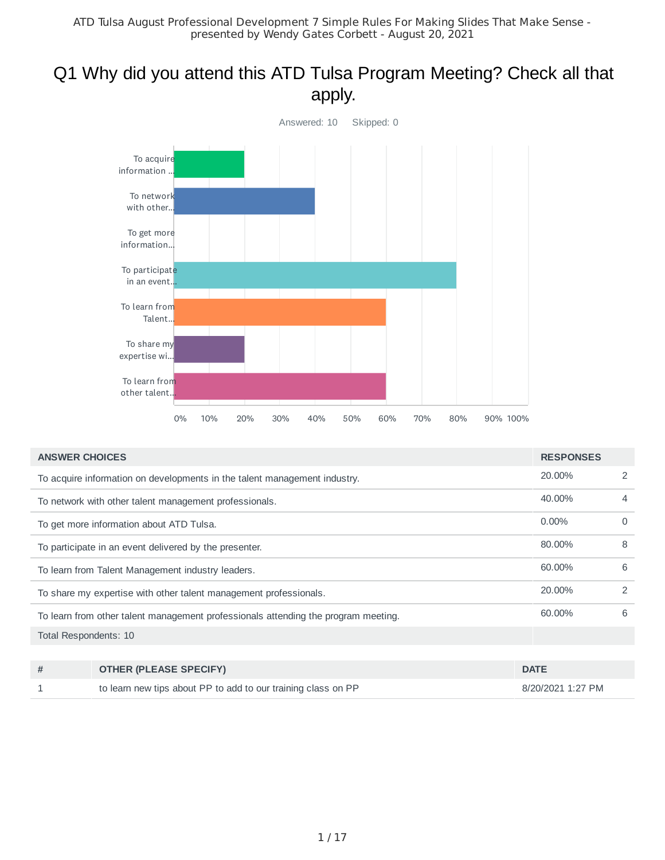# Q1 Why did you attend this ATD Tulsa Program Meeting? Check all that apply.



| 20.00%                                                                                       | 2             |
|----------------------------------------------------------------------------------------------|---------------|
| To acquire information on developments in the talent management industry.                    |               |
| 40.00%<br>To network with other talent management professionals.                             | 4             |
| $0.00\%$<br>To get more information about ATD Tulsa.                                         | $\Omega$      |
| 80.00%<br>To participate in an event delivered by the presenter.                             | 8             |
| 60.00%<br>To learn from Talent Management industry leaders.                                  | 6             |
| 20.00%<br>To share my expertise with other talent management professionals.                  | $\mathcal{L}$ |
| 60.00%<br>To learn from other talent management professionals attending the program meeting. | 6             |
| Total Respondents: 10                                                                        |               |

| <b>OTHER (PLEASE SPECIFY)</b>                                 | <b>DATE</b>       |
|---------------------------------------------------------------|-------------------|
| to learn new tips about PP to add to our training class on PP | 8/20/2021 1:27 PM |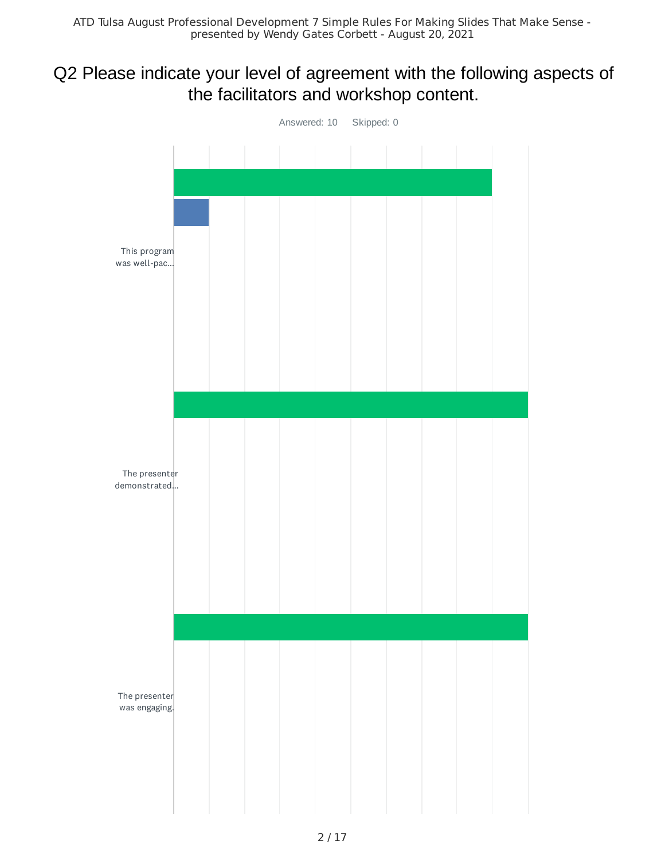# Q2 Please indicate your level of agreement with the following aspects of the facilitators and workshop content.

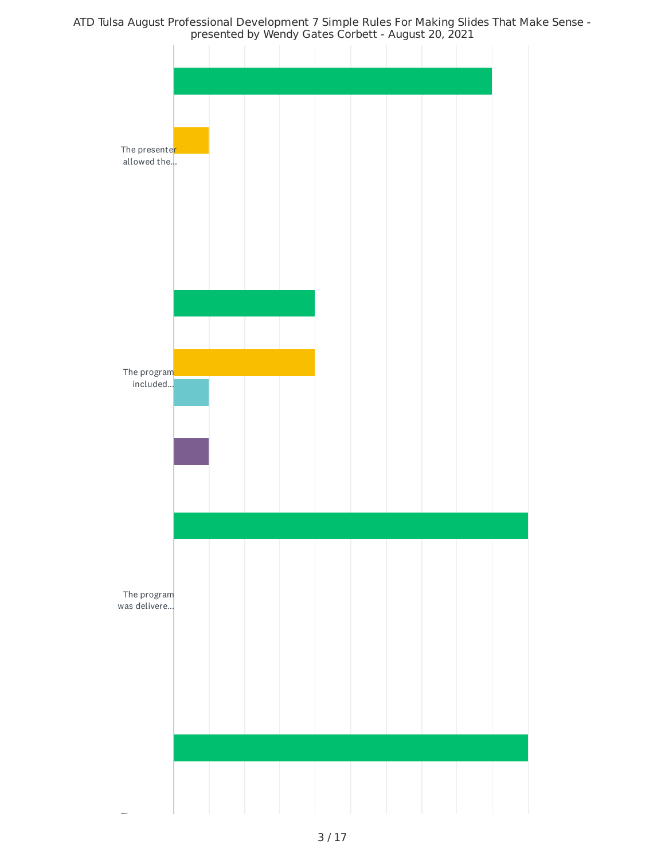ATD Tulsa August Professional Development 7 Simple Rules For Making Slides That Make Sense presented by Wendy Gates Corbett - August 20, 2021

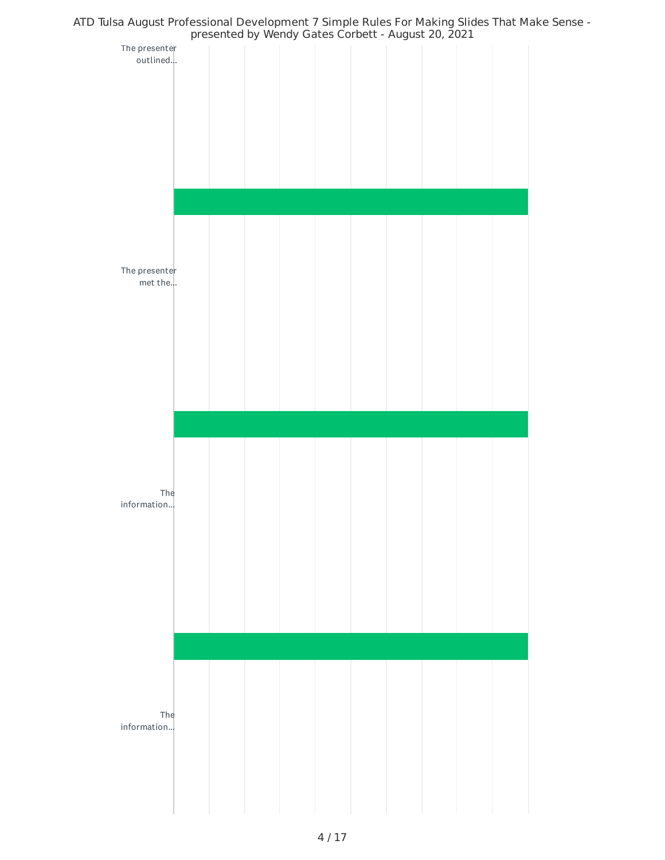

## 4 / 17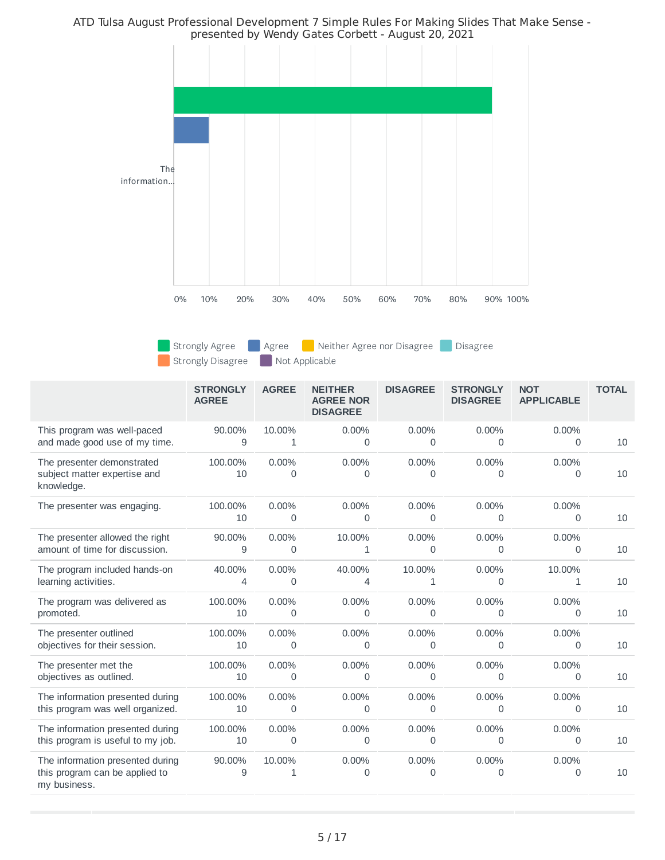ATD Tulsa August Professional Development 7 Simple Rules For Making Slides That Make Sense presented by Wendy Gates Corbett - August 20, 2021



Strongly Disagree Not Applicable

Strongly Agree **Agree Agree Agree Agree nor Disagree** Disagree

|                                                                                    | <b>STRONGLY</b><br><b>AGREE</b> | <b>AGREE</b>           | <b>NEITHER</b><br><b>AGREE NOR</b><br><b>DISAGREE</b> | <b>DISAGREE</b>   | <b>STRONGLY</b><br><b>DISAGREE</b> | <b>NOT</b><br><b>APPLICABLE</b> | <b>TOTAL</b> |
|------------------------------------------------------------------------------------|---------------------------------|------------------------|-------------------------------------------------------|-------------------|------------------------------------|---------------------------------|--------------|
| This program was well-paced                                                        | 90.00%                          | 10.00%                 | 0.00%                                                 | 0.00%             | 0.00%                              | $0.00\%$                        | 10           |
| and made good use of my time.                                                      | 9                               | 1                      | $\Omega$                                              | $\Omega$          | 0                                  | 0                               |              |
| The presenter demonstrated<br>subject matter expertise and<br>knowledge.           | 100.00%<br>10                   | $0.00\%$<br>$\Omega$   | $0.00\%$<br>$\Omega$                                  | 0.00%<br>$\Omega$ | $0.00\%$<br>0                      | $0.00\%$<br>0                   | 10           |
| The presenter was engaging.                                                        | 100.00%<br>10                   | $0.00\%$<br>0          | $0.00\%$<br>0                                         | 0.00%<br>0        | $0.00\%$<br>0                      | $0.00\%$<br>0                   | 10           |
| The presenter allowed the right                                                    | 90.00%                          | $0.00\%$               | 10.00%                                                | $0.00\%$          | $0.00\%$                           | $0.00\%$                        | 10           |
| amount of time for discussion.                                                     | 9                               | $\mathbf 0$            | $\mathbf{1}$                                          | $\Omega$          | 0                                  | 0                               |              |
| The program included hands-on                                                      | 40.00%                          | 0.00%                  | 40.00%                                                | 10.00%            | 0.00%                              | 10.00%                          | 10           |
| learning activities.                                                               | 4                               | $\Omega$               | 4                                                     | 1                 | 0                                  | 1                               |              |
| The program was delivered as                                                       | 100.00%                         | 0.00%                  | 0.00%                                                 | 0.00%             | $0.00\%$                           | 0.00%                           | 10           |
| promoted.                                                                          | 10                              | 0                      | 0                                                     | 0                 | 0                                  | 0                               |              |
| The presenter outlined                                                             | 100.00%                         | 0.00%                  | 0.00%                                                 | 0.00%             | $0.00\%$                           | $0.00\%$                        | 10           |
| objectives for their session.                                                      | 10                              | 0                      | 0                                                     | 0                 | 0                                  | 0                               |              |
| The presenter met the                                                              | 100.00%                         | 0.00%                  | 0.00%                                                 | 0.00%             | 0.00%                              | 0.00%                           | 10           |
| objectives as outlined.                                                            | 10                              | 0                      | 0                                                     | 0                 | 0                                  | 0                               |              |
| The information presented during                                                   | 100.00%                         | $0.00\%$               | $0.00\%$                                              | 0.00%             | $0.00\%$                           | $0.00\%$                        | 10           |
| this program was well organized.                                                   | 10                              | $\mathbf 0$            | 0                                                     | $\Omega$          | 0                                  | 0                               |              |
| The information presented during                                                   | 100.00%                         | $0.00\%$               | $0.00\%$                                              | $0.00\%$          | $0.00\%$                           | $0.00\%$                        | 10           |
| this program is useful to my job.                                                  | 10                              | $\mathbf 0$            | 0                                                     | $\Omega$          | 0                                  | 0                               |              |
| The information presented during<br>this program can be applied to<br>my business. | 90.00%<br>9                     | 10.00%<br>$\mathbf{1}$ | 0.00%<br>$\Omega$                                     | 0.00%<br>$\Omega$ | 0.00%<br>$\Omega$                  | $0.00\%$<br>0                   | 10           |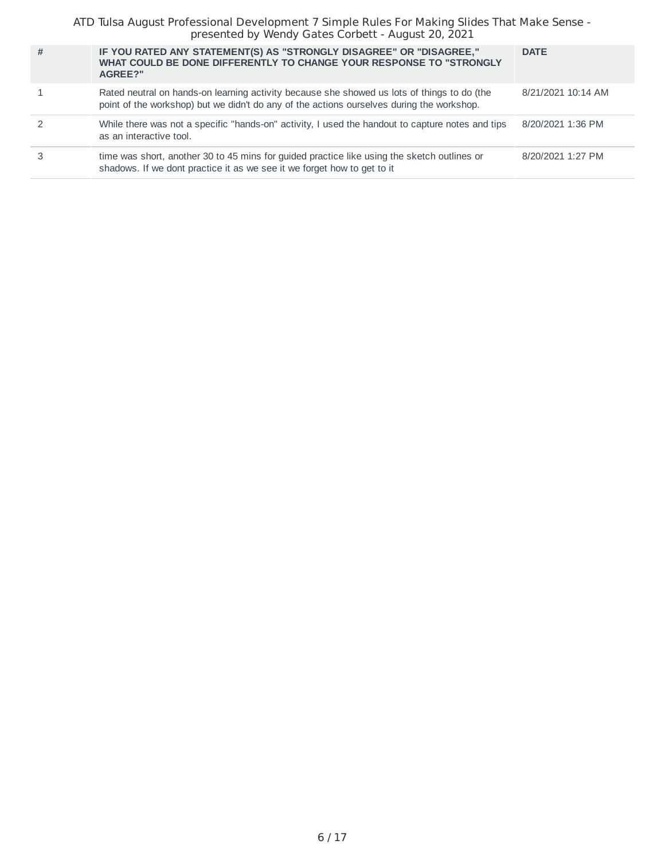ATD Tulsa August Professional Development 7 Simple Rules For Making Slides That Make Sense presented by Wendy Gates Corbett - August 20, 2021

| # | IF YOU RATED ANY STATEMENT(S) AS "STRONGLY DISAGREE" OR "DISAGREE,"<br>WHAT COULD BE DONE DIFFERENTLY TO CHANGE YOUR RESPONSE TO "STRONGLY<br>AGREE?"                                    | <b>DATE</b>        |
|---|------------------------------------------------------------------------------------------------------------------------------------------------------------------------------------------|--------------------|
|   | Rated neutral on hands-on learning activity because she showed us lots of things to do (the<br>point of the workshop) but we didn't do any of the actions ourselves during the workshop. | 8/21/2021 10:14 AM |
|   | While there was not a specific "hands-on" activity, I used the handout to capture notes and tips<br>as an interactive tool.                                                              | 8/20/2021 1:36 PM  |
|   | time was short, another 30 to 45 mins for guided practice like using the sketch outlines or<br>shadows. If we dont practice it as we see it we forget how to get to it                   | 8/20/2021 1:27 PM  |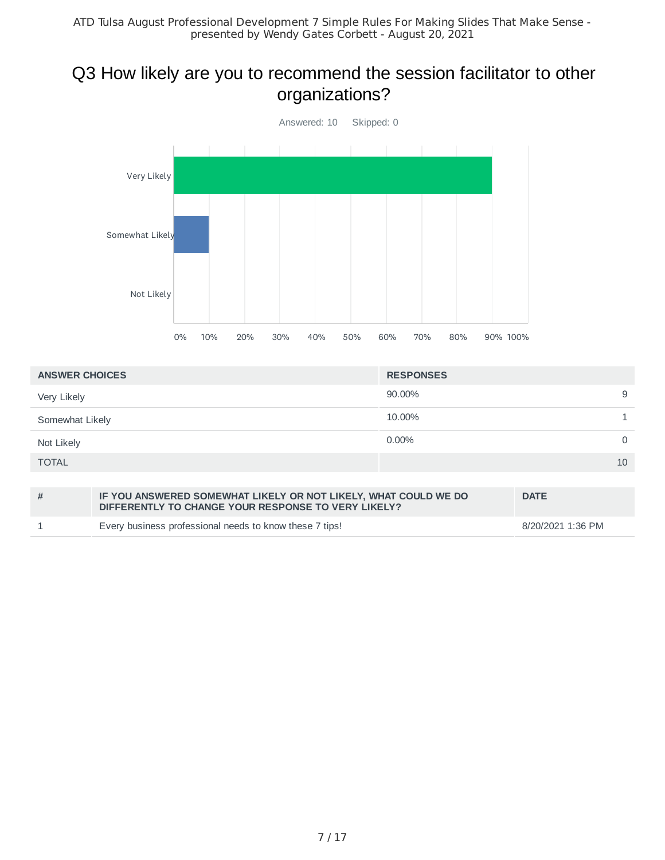# Q3 How likely are you to recommend the session facilitator to other organizations?



| <b>ANSWER CHOICES</b> | <b>RESPONSES</b> |             |
|-----------------------|------------------|-------------|
| Very Likely           | 90.00%           | 9           |
| Somewhat Likely       | 10.00%           |             |
| Not Likely            | $0.00\%$         | $\mathbf 0$ |
| <b>TOTAL</b>          | 10               |             |
|                       |                  |             |

| # | IF YOU ANSWERED SOMEWHAT LIKELY OR NOT LIKELY, WHAT COULD WE DO<br>DIFFERENTLY TO CHANGE YOUR RESPONSE TO VERY LIKELY? | <b>DATE</b>       |
|---|------------------------------------------------------------------------------------------------------------------------|-------------------|
|   | Every business professional needs to know these 7 tips!                                                                | 8/20/2021 1:36 PM |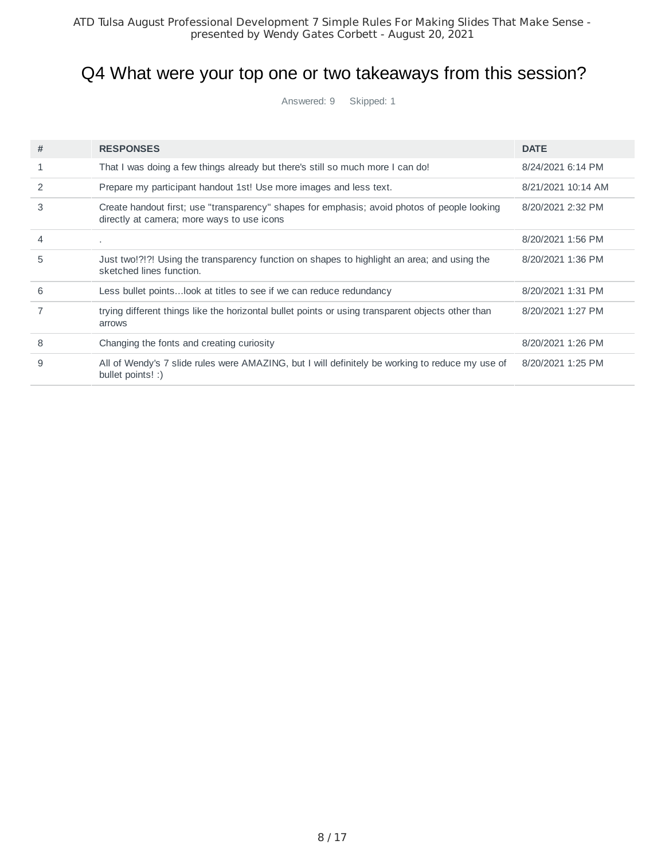# Q4 What were your top one or two takeaways from this session?

Answered: 9 Skipped: 1

| # | <b>RESPONSES</b>                                                                                                                           | <b>DATE</b>        |
|---|--------------------------------------------------------------------------------------------------------------------------------------------|--------------------|
| 1 | That I was doing a few things already but there's still so much more I can do!                                                             | 8/24/2021 6:14 PM  |
| 2 | Prepare my participant handout 1st! Use more images and less text.                                                                         | 8/21/2021 10:14 AM |
| 3 | Create handout first; use "transparency" shapes for emphasis; avoid photos of people looking<br>directly at camera; more ways to use icons | 8/20/2021 2:32 PM  |
| 4 |                                                                                                                                            | 8/20/2021 1:56 PM  |
| 5 | Just two!?!?! Using the transparency function on shapes to highlight an area; and using the<br>sketched lines function.                    | 8/20/2021 1:36 PM  |
| 6 | Less bullet points look at titles to see if we can reduce redundancy                                                                       | 8/20/2021 1:31 PM  |
|   | trying different things like the horizontal bullet points or using transparent objects other than<br>arrows                                | 8/20/2021 1:27 PM  |
| 8 | Changing the fonts and creating curiosity                                                                                                  | 8/20/2021 1:26 PM  |
| 9 | All of Wendy's 7 slide rules were AMAZING, but I will definitely be working to reduce my use of<br>bullet points! :)                       | 8/20/2021 1:25 PM  |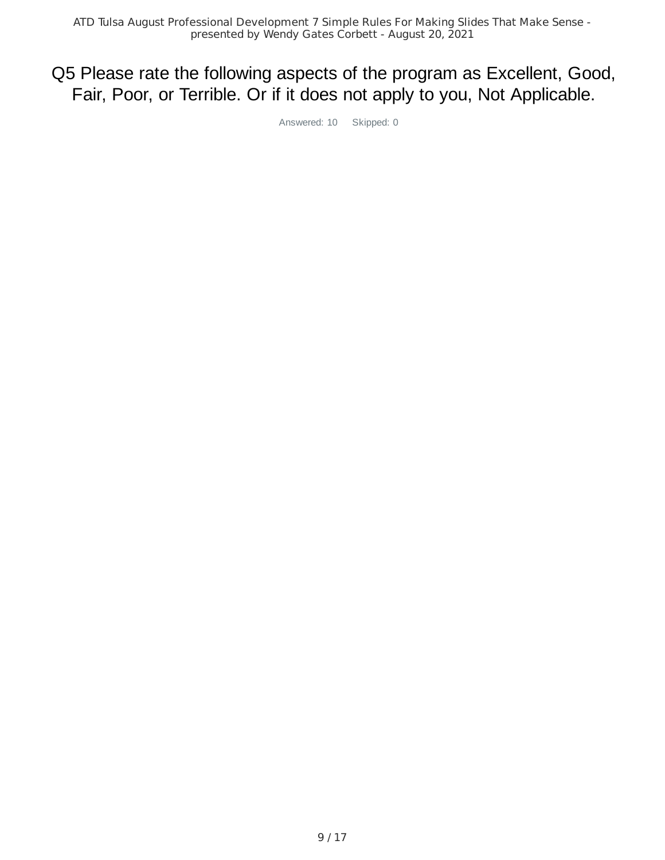# Q5 Please rate the following aspects of the program as Excellent, Good, Fair, Poor, or Terrible. Or if it does not apply to you, Not Applicable.

Answered: 10 Skipped: 0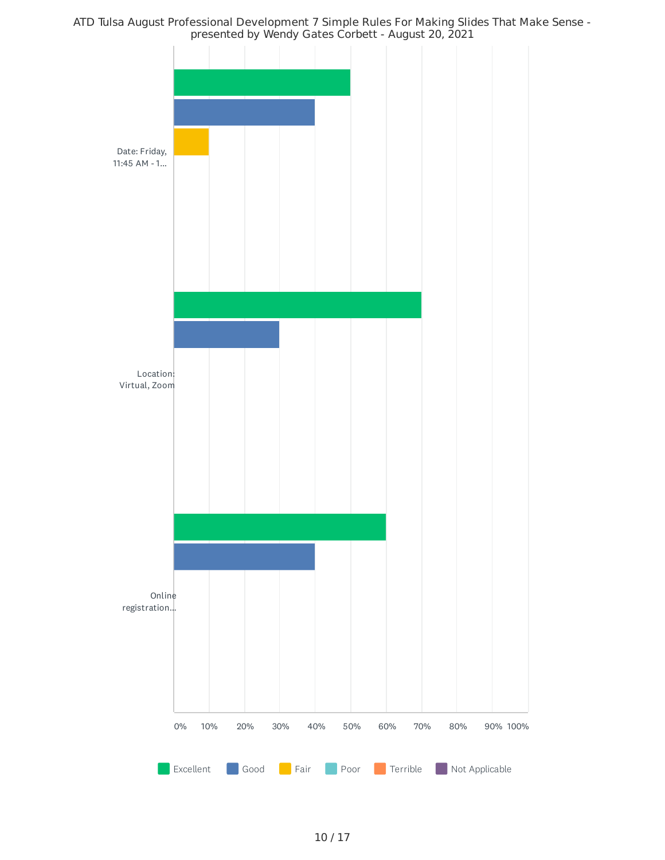ATD Tulsa August Professional Development 7 Simple Rules For Making Slides That Make Sense presented by Wendy Gates Corbett - August 20, 2021

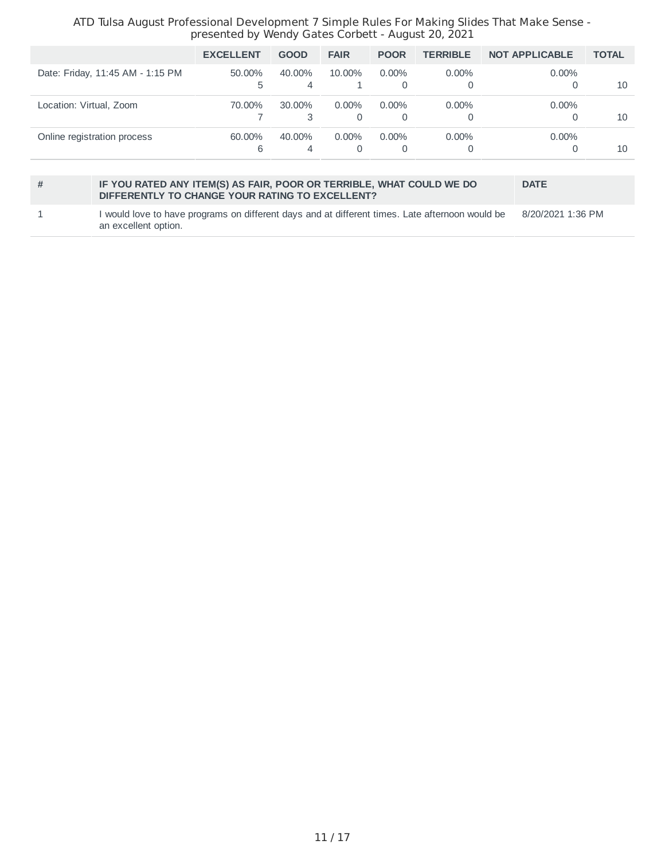#### ATD Tulsa August Professional Development 7 Simple Rules For Making Slides That Make Sense presented by Wendy Gates Corbett - August 20, 2021

| <b>EXCELLENT</b> | <b>GOOD</b>              | <b>FAIR</b> | <b>POOR</b>   | <b>TERRIBLE</b> | <b>NOT APPLICABLE</b> | <b>TOTAL</b> |
|------------------|--------------------------|-------------|---------------|-----------------|-----------------------|--------------|
| 50.00%<br>5      | 40.00%<br>$\overline{4}$ | 10.00%      | $0.00\%$<br>0 | $0.00\%$        | $0.00\%$              | 10           |
| 70.00%           | $30.00\%$                | $0.00\%$    | $0.00\%$<br>0 | $0.00\%$<br>0   | $0.00\%$              | 10           |
| 60.00%<br>6      | 40.00%<br>4              | $0.00\%$    | $0.00\%$<br>0 | $0.00\%$<br>0   | $0.00\%$              | 10           |
|                  |                          |             |               |                 |                       |              |

#### **# IF YOU RATED ANY ITEM(S) AS FAIR, POOR OR TERRIBLE, WHAT COULD WE DO DIFFERENTLY TO CHANGE YOUR RATING TO EXCELLENT?**

8/20/2021 1:36 PM

**DATE**

#### 1 I would love to have programs on different days and at different times. Late afternoon would be an excellent option.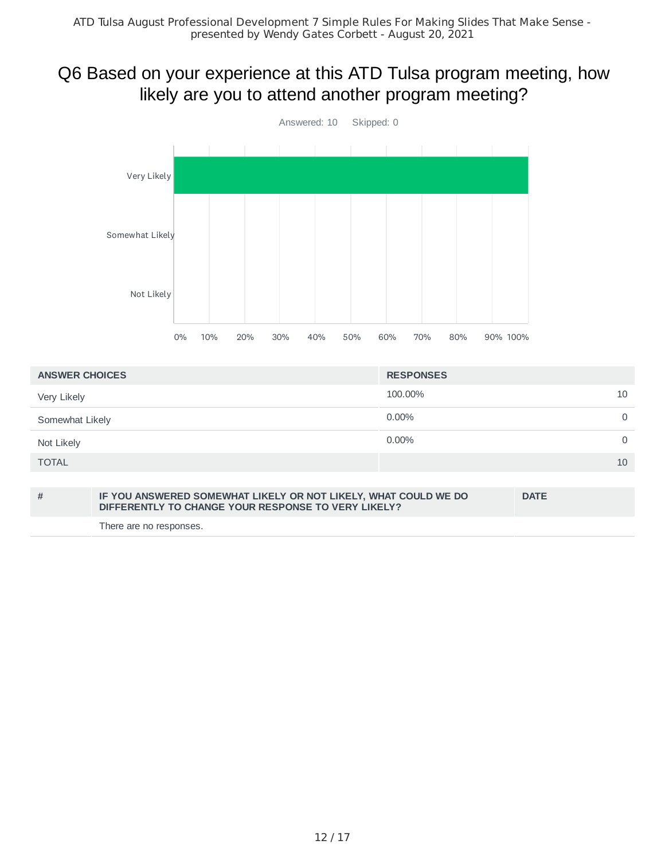# Q6 Based on your experience at this ATD Tulsa program meeting, how likely are you to attend another program meeting?



| <b>ANSWER CHOICES</b> | <b>RESPONSES</b> |          |
|-----------------------|------------------|----------|
| Very Likely           | 100,00%<br>10    |          |
| Somewhat Likely       | $0.00\%$         | 0        |
| Not Likely            | $0.00\%$         | $\Omega$ |
| <b>TOTAL</b>          | 10               |          |

| # | IF YOU ANSWERED SOMEWHAT LIKELY OR NOT LIKELY, WHAT COULD WE DO<br>DIFFERENTLY TO CHANGE YOUR RESPONSE TO VERY LIKELY? | <b>DATE</b> |
|---|------------------------------------------------------------------------------------------------------------------------|-------------|
|   | There are no responses.                                                                                                |             |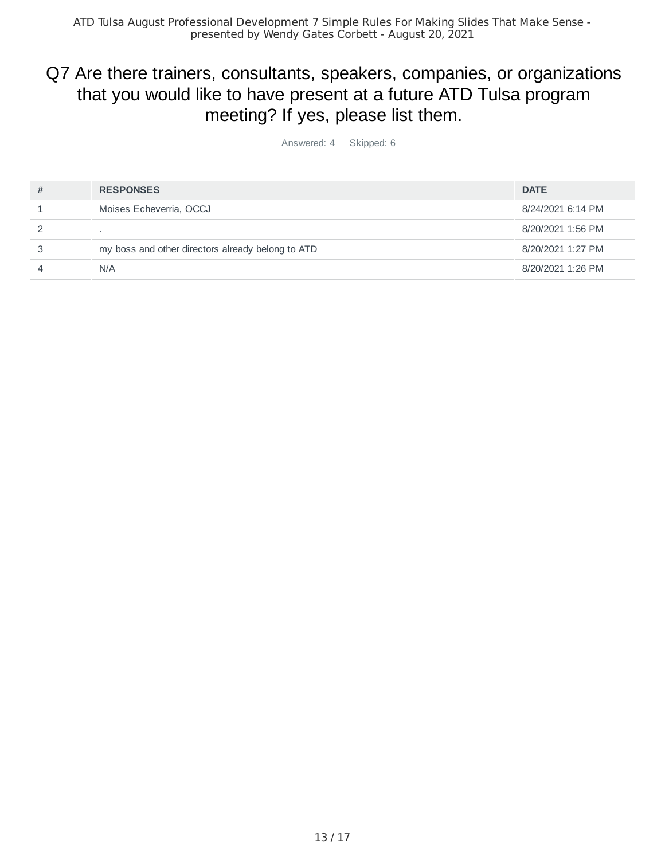# Q7 Are there trainers, consultants, speakers, companies, or organizations that you would like to have present at a future ATD Tulsa program meeting? If yes, please list them.

Answered: 4 Skipped: 6

| # | <b>RESPONSES</b>                                  | <b>DATE</b>       |
|---|---------------------------------------------------|-------------------|
|   | Moises Echeverria, OCCJ                           | 8/24/2021 6:14 PM |
|   |                                                   | 8/20/2021 1:56 PM |
|   | my boss and other directors already belong to ATD | 8/20/2021 1:27 PM |
|   | N/A                                               | 8/20/2021 1:26 PM |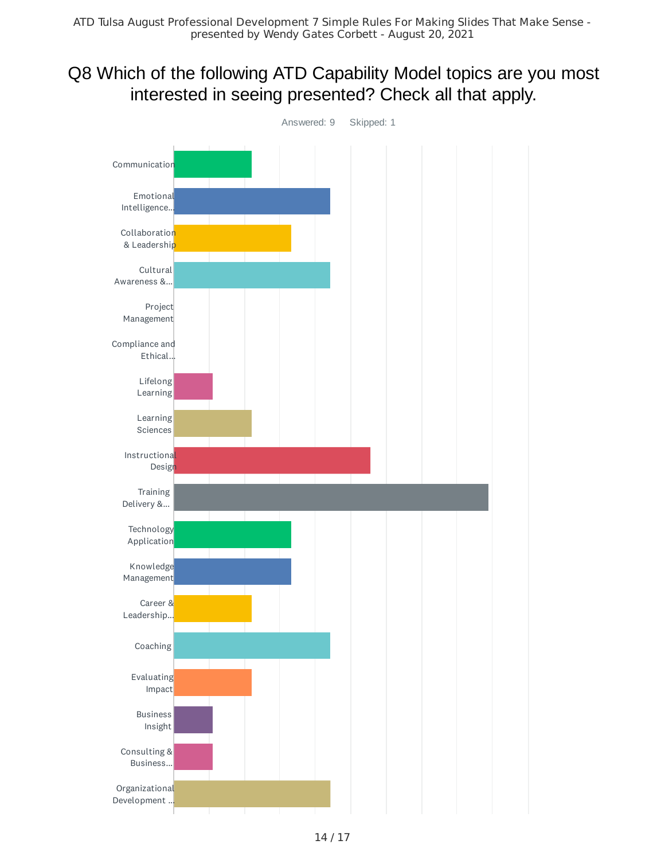# Q8 Which of the following ATD Capability Model topics are you most interested in seeing presented? Check all that apply.

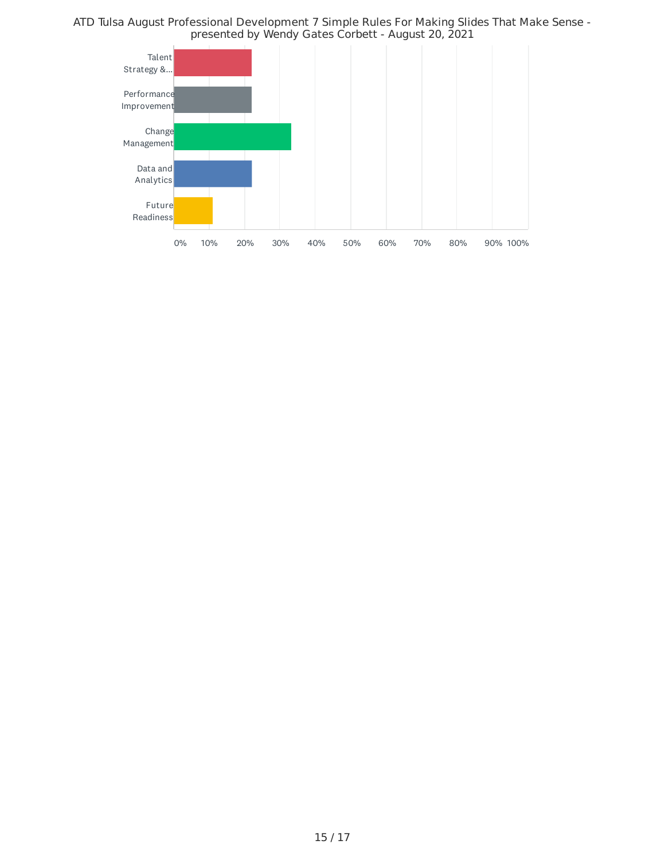ATD Tulsa August Professional Development 7 Simple Rules For Making Slides That Make Sense presented by Wendy Gates Corbett - August 20, 2021

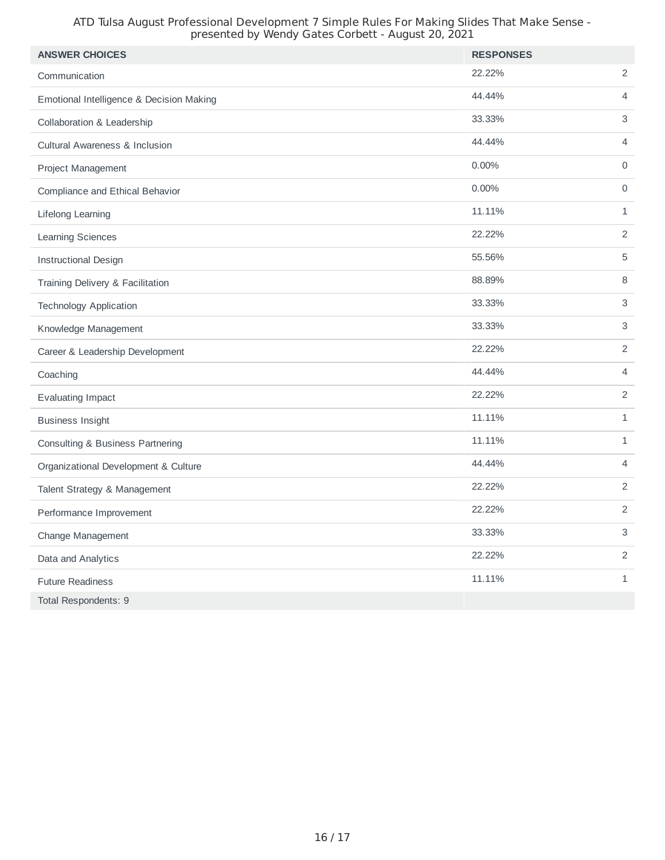#### ATD Tulsa August Professional Development 7 Simple Rules For Making Slides That Make Sense presented by Wendy Gates Corbett - August 20, 2021

| <b>ANSWER CHOICES</b>                     | <b>RESPONSES</b> |                           |
|-------------------------------------------|------------------|---------------------------|
| Communication                             | 22.22%           | $\overline{c}$            |
| Emotional Intelligence & Decision Making  | 44.44%           | $\overline{4}$            |
| Collaboration & Leadership                | 33.33%           | $\ensuremath{\mathsf{3}}$ |
| <b>Cultural Awareness &amp; Inclusion</b> | 44.44%           | $\overline{4}$            |
| Project Management                        | $0.00\%$         | $\mathbf 0$               |
| Compliance and Ethical Behavior           | 0.00%            | $\mathsf{O}\xspace$       |
| Lifelong Learning                         | 11.11%           | $\mathbf{1}$              |
| <b>Learning Sciences</b>                  | 22.22%           | $\overline{2}$            |
| <b>Instructional Design</b>               | 55.56%           | 5                         |
| Training Delivery & Facilitation          | 88.89%           | $\,8\,$                   |
| <b>Technology Application</b>             | 33.33%           | $\mathsf 3$               |
| Knowledge Management                      | 33.33%           | $\mathsf{3}$              |
| Career & Leadership Development           | 22.22%           | $\sqrt{2}$                |
| Coaching                                  | 44.44%           | $\overline{4}$            |
| <b>Evaluating Impact</b>                  | 22.22%           | 2                         |
| <b>Business Insight</b>                   | 11.11%           | $\mathbf{1}$              |
| Consulting & Business Partnering          | 11.11%           | $\mathbf{1}$              |
| Organizational Development & Culture      | 44.44%           | $\overline{4}$            |
| Talent Strategy & Management              | 22.22%           | 2                         |
| Performance Improvement                   | 22.22%           | $\overline{c}$            |
| Change Management                         | 33.33%           | 3                         |
| Data and Analytics                        | 22.22%           | $\overline{2}$            |
| <b>Future Readiness</b>                   | 11.11%           | 1                         |
| Total Respondents: 9                      |                  |                           |